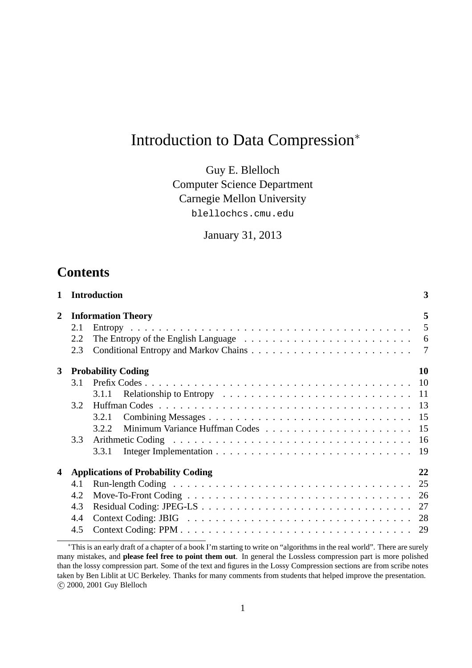# Introduction to Data Compression<sup>∗</sup>

Guy E. Blelloch Computer Science Department Carnegie Mellon University blellochcs.cmu.edu

January 31, 2013

## **Contents**

| $\mathbf{1}$   |     | <b>Introduction</b>                       | 3  |  |  |  |  |  |  |  |  |  |  |  |
|----------------|-----|-------------------------------------------|----|--|--|--|--|--|--|--|--|--|--|--|
| $\overline{2}$ |     | 5<br><b>Information Theory</b>            |    |  |  |  |  |  |  |  |  |  |  |  |
|                | 2.1 |                                           |    |  |  |  |  |  |  |  |  |  |  |  |
|                | 2.2 |                                           |    |  |  |  |  |  |  |  |  |  |  |  |
|                | 2.3 |                                           |    |  |  |  |  |  |  |  |  |  |  |  |
| 3 <sup>1</sup> |     | <b>Probability Coding</b>                 | 10 |  |  |  |  |  |  |  |  |  |  |  |
|                | 3.1 |                                           |    |  |  |  |  |  |  |  |  |  |  |  |
|                |     | 3.1.1                                     |    |  |  |  |  |  |  |  |  |  |  |  |
|                | 3.2 |                                           |    |  |  |  |  |  |  |  |  |  |  |  |
|                |     | 3.2.1                                     |    |  |  |  |  |  |  |  |  |  |  |  |
|                |     | 3.2.2                                     |    |  |  |  |  |  |  |  |  |  |  |  |
|                | 3.3 |                                           |    |  |  |  |  |  |  |  |  |  |  |  |
|                |     | 3.3.1                                     |    |  |  |  |  |  |  |  |  |  |  |  |
| 4              |     | <b>Applications of Probability Coding</b> | 22 |  |  |  |  |  |  |  |  |  |  |  |
|                | 4.1 |                                           |    |  |  |  |  |  |  |  |  |  |  |  |
|                | 4.2 |                                           |    |  |  |  |  |  |  |  |  |  |  |  |
|                | 4.3 |                                           |    |  |  |  |  |  |  |  |  |  |  |  |
|                | 4.4 |                                           |    |  |  |  |  |  |  |  |  |  |  |  |
|                | 4.5 |                                           |    |  |  |  |  |  |  |  |  |  |  |  |

<sup>∗</sup>This is an early draft of a chapter of a book I'm starting to write on "algorithms in the real world". There are surely many mistakes, and **please feel free to point them out**. In general the Lossless compression part is more polished than the lossy compression part. Some of the text and figures in the Lossy Compression sections are from scribe notes taken by Ben Liblit at UC Berkeley. Thanks for many comments from students that helped improve the presentation. c 2000, 2001 Guy Blelloch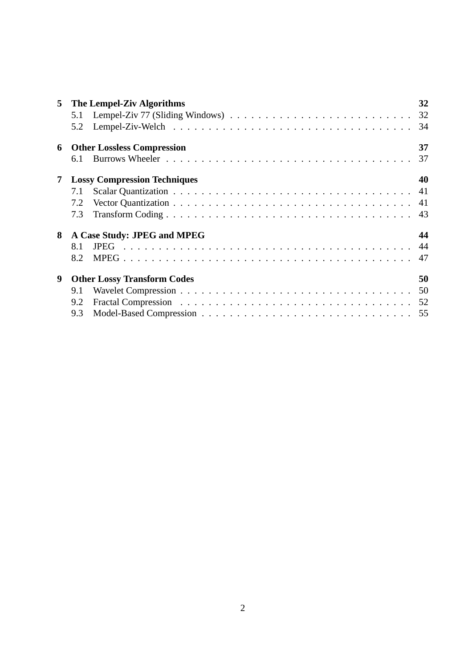| 5 <sup>5</sup> | The Lempel-Ziv Algorithms           | 32 |
|----------------|-------------------------------------|----|
|                |                                     |    |
|                |                                     |    |
| 6              | <b>Other Lossless Compression</b>   | 37 |
|                | 6.1                                 |    |
| 7              | <b>Lossy Compression Techniques</b> | 40 |
|                | 7.1                                 |    |
|                | 7.2                                 |    |
|                | 7.3                                 |    |
| 8              | A Case Study: JPEG and MPEG         | 44 |
|                | 8.1                                 |    |
|                | 8.2                                 |    |
| 9              | <b>Other Lossy Transform Codes</b>  | 50 |
|                | 9.1                                 |    |
|                | 9.2                                 |    |
|                | 9.3                                 |    |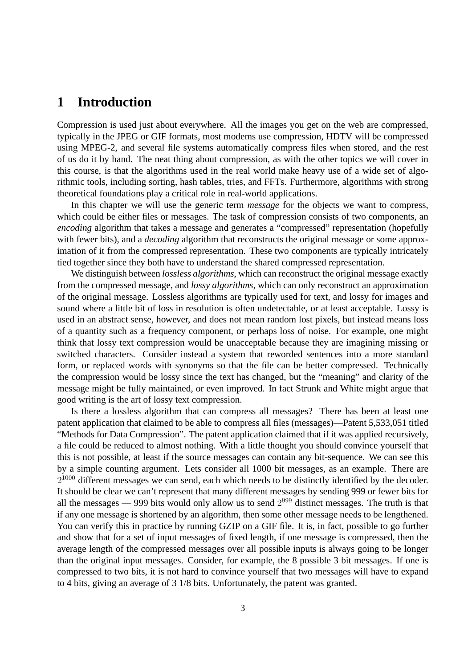## **1 Introduction**

Compression is used just about everywhere. All the images you get on the web are compressed, typically in the JPEG or GIF formats, most modems use compression, HDTV will be compressed using MPEG-2, and several file systems automatically compress files when stored, and the rest of us do it by hand. The neat thing about compression, as with the other topics we will cover in this course, is that the algorithms used in the real world make heavy use of a wide set of algorithmic tools, including sorting, hash tables, tries, and FFTs. Furthermore, algorithms with strong theoretical foundations play a critical role in real-world applications.

In this chapter we will use the generic term *message* for the objects we want to compress, which could be either files or messages. The task of compression consists of two components, an *encoding* algorithm that takes a message and generates a "compressed" representation (hopefully with fewer bits), and a *decoding* algorithm that reconstructs the original message or some approximation of it from the compressed representation. These two components are typically intricately tied together since they both have to understand the shared compressed representation.

We distinguish between *lossless algorithms*, which can reconstruct the original message exactly from the compressed message, and *lossy algorithms*, which can only reconstruct an approximation of the original message. Lossless algorithms are typically used for text, and lossy for images and sound where a little bit of loss in resolution is often undetectable, or at least acceptable. Lossy is used in an abstract sense, however, and does not mean random lost pixels, but instead means loss of a quantity such as a frequency component, or perhaps loss of noise. For example, one might think that lossy text compression would be unacceptable because they are imagining missing or switched characters. Consider instead a system that reworded sentences into a more standard form, or replaced words with synonyms so that the file can be better compressed. Technically the compression would be lossy since the text has changed, but the "meaning" and clarity of the message might be fully maintained, or even improved. In fact Strunk and White might argue that good writing is the art of lossy text compression.

Is there a lossless algorithm that can compress all messages? There has been at least one patent application that claimed to be able to compress all files (messages)—Patent 5,533,051 titled "Methods for Data Compression". The patent application claimed that if it was applied recursively, a file could be reduced to almost nothing. With a little thought you should convince yourself that this is not possible, at least if the source messages can contain any bit-sequence. We can see this by a simple counting argument. Lets consider all 1000 bit messages, as an example. There are  $2^{1000}$  different messages we can send, each which needs to be distinctly identified by the decoder. It should be clear we can't represent that many different messages by sending 999 or fewer bits for all the messages — 999 bits would only allow us to send  $2^{999}$  distinct messages. The truth is that if any one message is shortened by an algorithm, then some other message needs to be lengthened. You can verify this in practice by running GZIP on a GIF file. It is, in fact, possible to go further and show that for a set of input messages of fixed length, if one message is compressed, then the average length of the compressed messages over all possible inputs is always going to be longer than the original input messages. Consider, for example, the 8 possible 3 bit messages. If one is compressed to two bits, it is not hard to convince yourself that two messages will have to expand to 4 bits, giving an average of 3 1/8 bits. Unfortunately, the patent was granted.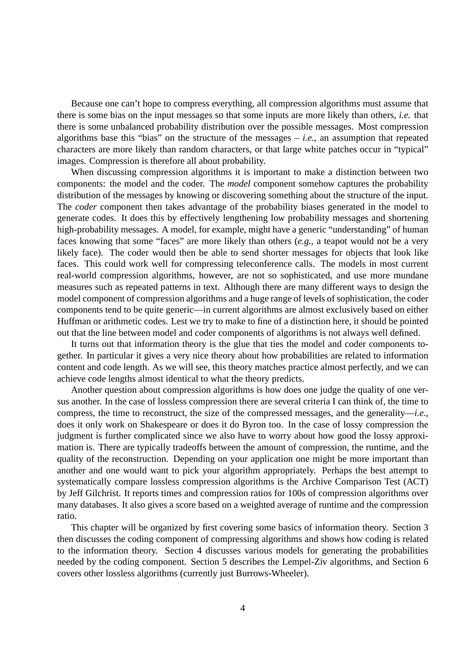Because one can't hope to compress everything, all compression algorithms must assume that there is some bias on the input messages so that some inputs are more likely than others, *i.e.* that there is some unbalanced probability distribution over the possible messages. Most compression algorithms base this "bias" on the structure of the messages – *i.e.*, an assumption that repeated characters are more likely than random characters, or that large white patches occur in "typical" images. Compression is therefore all about probability.

When discussing compression algorithms it is important to make a distinction between two components: the model and the coder. The *model* component somehow captures the probability distribution of the messages by knowing or discovering something about the structure of the input. The *coder* component then takes advantage of the probability biases generated in the model to generate codes. It does this by effectively lengthening low probability messages and shortening high-probability messages. A model, for example, might have a generic "understanding" of human faces knowing that some "faces" are more likely than others (*e.g.*, a teapot would not be a very likely face). The coder would then be able to send shorter messages for objects that look like faces. This could work well for compressing teleconference calls. The models in most current real-world compression algorithms, however, are not so sophisticated, and use more mundane measures such as repeated patterns in text. Although there are many different ways to design the model component of compression algorithms and a huge range of levels of sophistication, the coder components tend to be quite generic—in current algorithms are almost exclusively based on either Huffman or arithmetic codes. Lest we try to make to fine of a distinction here, it should be pointed out that the line between model and coder components of algorithms is not always well defined.

It turns out that information theory is the glue that ties the model and coder components together. In particular it gives a very nice theory about how probabilities are related to information content and code length. As we will see, this theory matches practice almost perfectly, and we can achieve code lengths almost identical to what the theory predicts.

Another question about compression algorithms is how does one judge the quality of one versus another. In the case of lossless compression there are several criteria I can think of, the time to compress, the time to reconstruct, the size of the compressed messages, and the generality—*i.e.*, does it only work on Shakespeare or does it do Byron too. In the case of lossy compression the judgment is further complicated since we also have to worry about how good the lossy approximation is. There are typically tradeoffs between the amount of compression, the runtime, and the quality of the reconstruction. Depending on your application one might be more important than another and one would want to pick your algorithm appropriately. Perhaps the best attempt to systematically compare lossless compression algorithms is the Archive Comparison Test (ACT) by Jeff Gilchrist. It reports times and compression ratios for 100s of compression algorithms over many databases. It also gives a score based on a weighted average of runtime and the compression ratio.

This chapter will be organized by first covering some basics of information theory. Section 3 then discusses the coding component of compressing algorithms and shows how coding is related to the information theory. Section 4 discusses various models for generating the probabilities needed by the coding component. Section 5 describes the Lempel-Ziv algorithms, and Section 6 covers other lossless algorithms (currently just Burrows-Wheeler).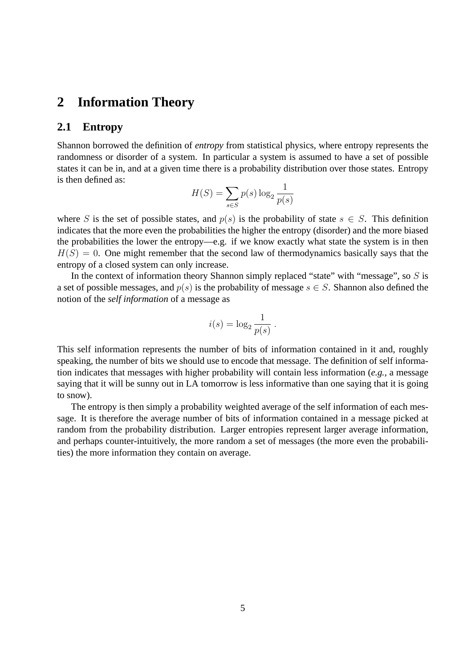## **2 Information Theory**

#### **2.1 Entropy**

Shannon borrowed the definition of *entropy* from statistical physics, where entropy represents the randomness or disorder of a system. In particular a system is assumed to have a set of possible states it can be in, and at a given time there is a probability distribution over those states. Entropy is then defined as:

$$
H(S) = \sum_{s \in S} p(s) \log_2 \frac{1}{p(s)}
$$

where S is the set of possible states, and  $p(s)$  is the probability of state  $s \in S$ . This definition indicates that the more even the probabilities the higher the entropy (disorder) and the more biased the probabilities the lower the entropy—e.g. if we know exactly what state the system is in then  $H(S) = 0$ . One might remember that the second law of thermodynamics basically says that the entropy of a closed system can only increase.

In the context of information theory Shannon simply replaced "state" with "message", so  $S$  is a set of possible messages, and  $p(s)$  is the probability of message  $s \in S$ . Shannon also defined the notion of the *self information* of a message as

$$
i(s) = \log_2 \frac{1}{p(s)}.
$$

This self information represents the number of bits of information contained in it and, roughly speaking, the number of bits we should use to encode that message. The definition of self information indicates that messages with higher probability will contain less information (*e.g.*, a message saying that it will be sunny out in LA tomorrow is less informative than one saying that it is going to snow).

The entropy is then simply a probability weighted average of the self information of each message. It is therefore the average number of bits of information contained in a message picked at random from the probability distribution. Larger entropies represent larger average information, and perhaps counter-intuitively, the more random a set of messages (the more even the probabilities) the more information they contain on average.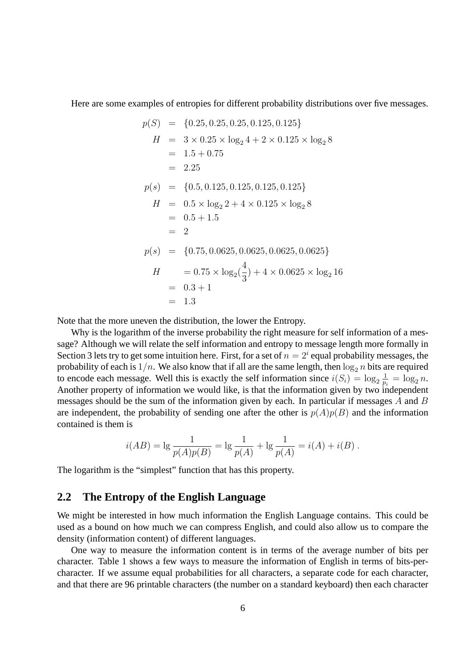Here are some examples of entropies for different probability distributions over five messages.

$$
p(S) = \{0.25, 0.25, 0.25, 0.125, 0.125\}
$$
  
\n
$$
H = 3 \times 0.25 \times \log_2 4 + 2 \times 0.125 \times \log_2 8
$$
  
\n
$$
= 1.5 + 0.75
$$
  
\n
$$
= 2.25
$$
  
\n
$$
p(s) = \{0.5, 0.125, 0.125, 0.125, 0.125\}
$$
  
\n
$$
H = 0.5 \times \log_2 2 + 4 \times 0.125 \times \log_2 8
$$
  
\n
$$
= 0.5 + 1.5
$$
  
\n
$$
= 2
$$
  
\n
$$
p(s) = \{0.75, 0.0625, 0.0625, 0.0625, 0.0625\}
$$
  
\n
$$
H = 0.75 \times \log_2(\frac{4}{3}) + 4 \times 0.0625 \times \log_2 16
$$
  
\n
$$
= 0.3 + 1
$$
  
\n
$$
= 1.3
$$

Note that the more uneven the distribution, the lower the Entropy.

Why is the logarithm of the inverse probability the right measure for self information of a message? Although we will relate the self information and entropy to message length more formally in Section 3 lets try to get some intuition here. First, for a set of  $n = 2<sup>i</sup>$  equal probability messages, the probability of each is  $1/n$ . We also know that if all are the same length, then  $\log_2 n$  bits are required to encode each message. Well this is exactly the self information since  $i(S_i) = \log_2 \frac{1}{p_i}$  $\frac{1}{p_i} = \log_2 n.$ Another property of information we would like, is that the information given by two independent messages should be the sum of the information given by each. In particular if messages A and B are independent, the probability of sending one after the other is  $p(A)p(B)$  and the information contained is them is

$$
i(AB) = \lg \frac{1}{p(A)p(B)} = \lg \frac{1}{p(A)} + \lg \frac{1}{p(A)} = i(A) + i(B).
$$

The logarithm is the "simplest" function that has this property.

#### **2.2 The Entropy of the English Language**

We might be interested in how much information the English Language contains. This could be used as a bound on how much we can compress English, and could also allow us to compare the density (information content) of different languages.

One way to measure the information content is in terms of the average number of bits per character. Table 1 shows a few ways to measure the information of English in terms of bits-percharacter. If we assume equal probabilities for all characters, a separate code for each character, and that there are 96 printable characters (the number on a standard keyboard) then each character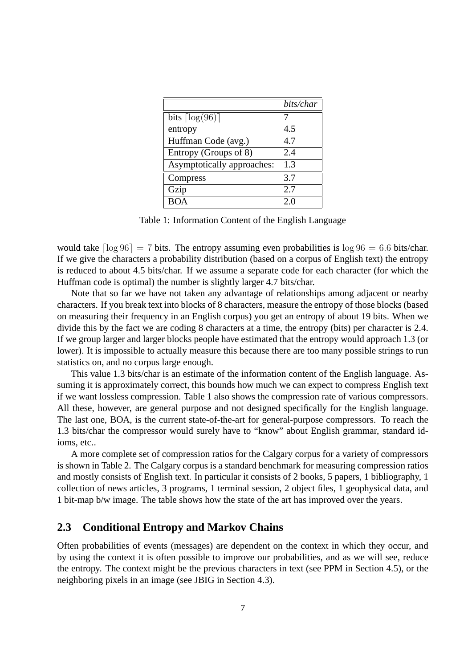|                               | bits/char |
|-------------------------------|-----------|
| bits $\lceil \log(96) \rceil$ |           |
| entropy                       | 4.5       |
| Huffman Code (avg.)           | 4.7       |
| Entropy (Groups of 8)         | 2.4       |
| Asymptotically approaches:    | 1.3       |
| Compress                      | 3.7       |
| Gzip                          | 2.7       |
| <b>BOA</b>                    | 2.0       |

Table 1: Information Content of the English Language

would take  $\lceil \log 96 \rceil = 7$  bits. The entropy assuming even probabilities is  $\log 96 = 6.6$  bits/char. If we give the characters a probability distribution (based on a corpus of English text) the entropy is reduced to about 4.5 bits/char. If we assume a separate code for each character (for which the Huffman code is optimal) the number is slightly larger 4.7 bits/char.

Note that so far we have not taken any advantage of relationships among adjacent or nearby characters. If you break text into blocks of 8 characters, measure the entropy of those blocks (based on measuring their frequency in an English corpus) you get an entropy of about 19 bits. When we divide this by the fact we are coding 8 characters at a time, the entropy (bits) per character is 2.4. If we group larger and larger blocks people have estimated that the entropy would approach 1.3 (or lower). It is impossible to actually measure this because there are too many possible strings to run statistics on, and no corpus large enough.

This value 1.3 bits/char is an estimate of the information content of the English language. Assuming it is approximately correct, this bounds how much we can expect to compress English text if we want lossless compression. Table 1 also shows the compression rate of various compressors. All these, however, are general purpose and not designed specifically for the English language. The last one, BOA, is the current state-of-the-art for general-purpose compressors. To reach the 1.3 bits/char the compressor would surely have to "know" about English grammar, standard idioms, etc..

A more complete set of compression ratios for the Calgary corpus for a variety of compressors is shown in Table 2. The Calgary corpus is a standard benchmark for measuring compression ratios and mostly consists of English text. In particular it consists of 2 books, 5 papers, 1 bibliography, 1 collection of news articles, 3 programs, 1 terminal session, 2 object files, 1 geophysical data, and 1 bit-map b/w image. The table shows how the state of the art has improved over the years.

### **2.3 Conditional Entropy and Markov Chains**

Often probabilities of events (messages) are dependent on the context in which they occur, and by using the context it is often possible to improve our probabilities, and as we will see, reduce the entropy. The context might be the previous characters in text (see PPM in Section 4.5), or the neighboring pixels in an image (see JBIG in Section 4.3).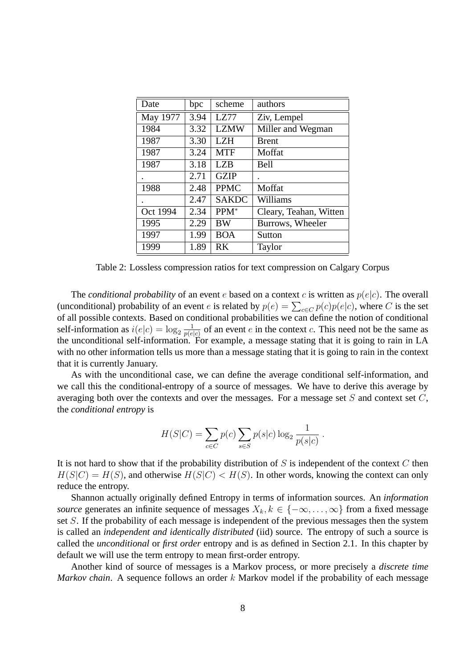| Date     | bpc  | scheme           | authors                |
|----------|------|------------------|------------------------|
| May 1977 | 3.94 | LZ77             | Ziv, Lempel            |
| 1984     | 3.32 | <b>LZMW</b>      | Miller and Wegman      |
| 1987     | 3.30 | <b>LZH</b>       | <b>Brent</b>           |
| 1987     | 3.24 | <b>MTF</b>       | Moffat                 |
| 1987     | 3.18 | LZB              | Bell                   |
|          | 2.71 | <b>GZIP</b>      |                        |
| 1988     | 2.48 | <b>PPMC</b>      | Moffat                 |
|          | 2.47 | <b>SAKDC</b>     | Williams               |
| Oct 1994 | 2.34 | PPM <sup>*</sup> | Cleary, Teahan, Witten |
| 1995     | 2.29 | <b>BW</b>        | Burrows, Wheeler       |
| 1997     | 1.99 | <b>BOA</b>       | Sutton                 |
| 1999     | 1.89 | RK               | Taylor                 |

Table 2: Lossless compression ratios for text compression on Calgary Corpus

The *conditional probability* of an event e based on a context c is written as  $p(e|c)$ . The overall (unconditional) probability of an event *e* is related by  $p(e) = \sum_{c \in C} p(c)p(e|c)$ , where *C* is the set of all possible contexts. Based on conditional probabilities we can define the notion of conditional self-information as  $i(e|c) = \log_2 \frac{1}{p(e)}$  $\frac{1}{p(e|c)}$  of an event e in the context c. This need not be the same as the unconditional self-information. For example, a message stating that it is going to rain in LA with no other information tells us more than a message stating that it is going to rain in the context that it is currently January.

As with the unconditional case, we can define the average conditional self-information, and we call this the conditional-entropy of a source of messages. We have to derive this average by averaging both over the contexts and over the messages. For a message set  $S$  and context set  $C$ , the *conditional entropy* is

$$
H(S|C) = \sum_{c \in C} p(c) \sum_{s \in S} p(s|c) \log_2 \frac{1}{p(s|c)}.
$$

It is not hard to show that if the probability distribution of  $S$  is independent of the context  $C$  then  $H(S|C) = H(S)$ , and otherwise  $H(S|C) < H(S)$ . In other words, knowing the context can only reduce the entropy.

Shannon actually originally defined Entropy in terms of information sources. An *information source* generates an infinite sequence of messages  $X_k, k \in \{-\infty, \ldots, \infty\}$  from a fixed message set S. If the probability of each message is independent of the previous messages then the system is called an *independent and identically distributed* (iid) source. The entropy of such a source is called the *unconditional* or *first order* entropy and is as defined in Section 2.1. In this chapter by default we will use the term entropy to mean first-order entropy.

Another kind of source of messages is a Markov process, or more precisely a *discrete time Markov chain.* A sequence follows an order k Markov model if the probability of each message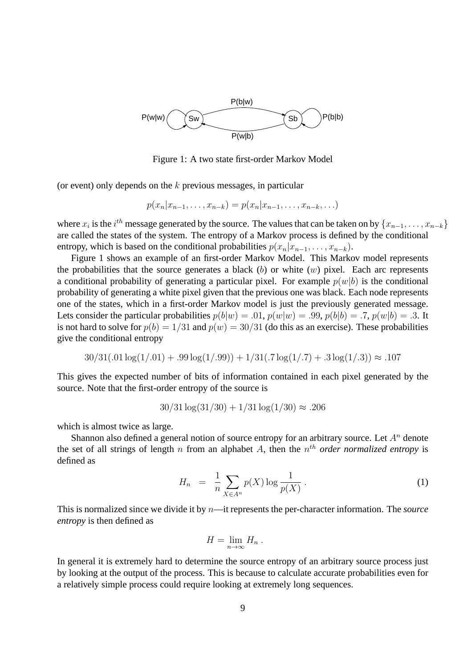

Figure 1: A two state first-order Markov Model

(or event) only depends on the  $k$  previous messages, in particular

$$
p(x_n|x_{n-1},...,x_{n-k}) = p(x_n|x_{n-1},...,x_{n-k},...)
$$

where  $x_i$  is the  $i^{th}$  message generated by the source. The values that can be taken on by  $\{x_{n-1}, \ldots, x_{n-k}\}$ are called the states of the system. The entropy of a Markov process is defined by the conditional entropy, which is based on the conditional probabilities  $p(x_n|x_{n-1}, \ldots, x_{n-k})$ .

Figure 1 shows an example of an first-order Markov Model. This Markov model represents the probabilities that the source generates a black  $(b)$  or white  $(w)$  pixel. Each arc represents a conditional probability of generating a particular pixel. For example  $p(w|b)$  is the conditional probability of generating a white pixel given that the previous one was black. Each node represents one of the states, which in a first-order Markov model is just the previously generated message. Lets consider the particular probabilities  $p(b|w) = .01$ ,  $p(w|w) = .99$ ,  $p(b|b) = .7$ ,  $p(w|b) = .3$ . It is not hard to solve for  $p(b) = 1/31$  and  $p(w) = 30/31$  (do this as an exercise). These probabilities give the conditional entropy

$$
30/31(.01\log(1/.01) + .99\log(1/.99)) + 1/31(.7\log(1/.7) + .3\log(1/.3)) \approx .107
$$

This gives the expected number of bits of information contained in each pixel generated by the source. Note that the first-order entropy of the source is

$$
30/31 \log(31/30) + 1/31 \log(1/30) \approx .206
$$

which is almost twice as large.

Shannon also defined a general notion of source entropy for an arbitrary source. Let  $A<sup>n</sup>$  denote the set of all strings of length  $n$  from an alphabet  $A$ , then the  $n<sup>th</sup>$  *order normalized entropy* is defined as

$$
H_n = \frac{1}{n} \sum_{X \in A^n} p(X) \log \frac{1}{p(X)} \,. \tag{1}
$$

This is normalized since we divide it by n—it represents the per-character information. The *source entropy* is then defined as

$$
H=\lim_{n\to\infty}H_n.
$$

In general it is extremely hard to determine the source entropy of an arbitrary source process just by looking at the output of the process. This is because to calculate accurate probabilities even for a relatively simple process could require looking at extremely long sequences.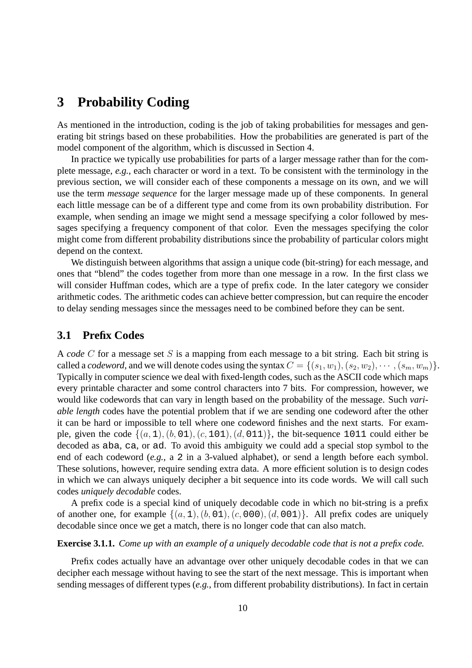## **3 Probability Coding**

As mentioned in the introduction, coding is the job of taking probabilities for messages and generating bit strings based on these probabilities. How the probabilities are generated is part of the model component of the algorithm, which is discussed in Section 4.

In practice we typically use probabilities for parts of a larger message rather than for the complete message, *e.g.*, each character or word in a text. To be consistent with the terminology in the previous section, we will consider each of these components a message on its own, and we will use the term *message sequence* for the larger message made up of these components. In general each little message can be of a different type and come from its own probability distribution. For example, when sending an image we might send a message specifying a color followed by messages specifying a frequency component of that color. Even the messages specifying the color might come from different probability distributions since the probability of particular colors might depend on the context.

We distinguish between algorithms that assign a unique code (bit-string) for each message, and ones that "blend" the codes together from more than one message in a row. In the first class we will consider Huffman codes, which are a type of prefix code. In the later category we consider arithmetic codes. The arithmetic codes can achieve better compression, but can require the encoder to delay sending messages since the messages need to be combined before they can be sent.

### **3.1 Prefix Codes**

A *code* C for a message set S is a mapping from each message to a bit string. Each bit string is called a *codeword*, and we will denote codes using the syntax  $C = \{(s_1, w_1), (s_2, w_2), \cdots, (s_m, w_m)\}.$ Typically in computer science we deal with fixed-length codes, such as the ASCII code which maps every printable character and some control characters into 7 bits. For compression, however, we would like codewords that can vary in length based on the probability of the message. Such *variable length* codes have the potential problem that if we are sending one codeword after the other it can be hard or impossible to tell where one codeword finishes and the next starts. For example, given the code  $\{(a, 1), (b, 01), (c, 101), (d, 011)\}$ , the bit-sequence 1011 could either be decoded as aba, ca, or ad. To avoid this ambiguity we could add a special stop symbol to the end of each codeword (*e.g.*, a 2 in a 3-valued alphabet), or send a length before each symbol. These solutions, however, require sending extra data. A more efficient solution is to design codes in which we can always uniquely decipher a bit sequence into its code words. We will call such codes *uniquely decodable* codes.

A prefix code is a special kind of uniquely decodable code in which no bit-string is a prefix of another one, for example  $\{(a, 1), (b, 01), (c, 000), (d, 001)\}$ . All prefix codes are uniquely decodable since once we get a match, there is no longer code that can also match.

#### **Exercise 3.1.1.** *Come up with an example of a uniquely decodable code that is not a prefix code.*

Prefix codes actually have an advantage over other uniquely decodable codes in that we can decipher each message without having to see the start of the next message. This is important when sending messages of different types (*e.g.*, from different probability distributions). In fact in certain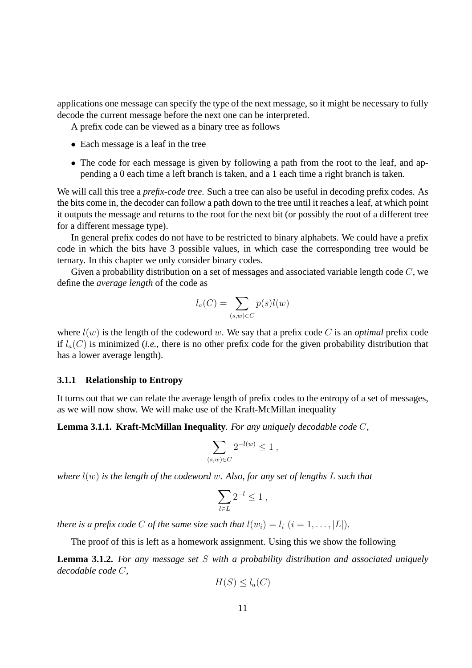applications one message can specify the type of the next message, so it might be necessary to fully decode the current message before the next one can be interpreted.

A prefix code can be viewed as a binary tree as follows

- Each message is a leaf in the tree
- The code for each message is given by following a path from the root to the leaf, and appending a 0 each time a left branch is taken, and a 1 each time a right branch is taken.

We will call this tree a *prefix-code tree*. Such a tree can also be useful in decoding prefix codes. As the bits come in, the decoder can follow a path down to the tree until it reaches a leaf, at which point it outputs the message and returns to the root for the next bit (or possibly the root of a different tree for a different message type).

In general prefix codes do not have to be restricted to binary alphabets. We could have a prefix code in which the bits have 3 possible values, in which case the corresponding tree would be ternary. In this chapter we only consider binary codes.

Given a probability distribution on a set of messages and associated variable length code  $C$ , we define the *average length* of the code as

$$
l_a(C) = \sum_{(s,w) \in C} p(s)l(w)
$$

where  $l(w)$  is the length of the codeword w. We say that a prefix code C is an *optimal* prefix code if  $l_a(C)$  is minimized (*i.e.*, there is no other prefix code for the given probability distribution that has a lower average length).

#### **3.1.1 Relationship to Entropy**

It turns out that we can relate the average length of prefix codes to the entropy of a set of messages, as we will now show. We will make use of the Kraft-McMillan inequality

**Lemma 3.1.1. Kraft-McMillan Inequality***. For any uniquely decodable code* C*,*

$$
\sum_{(s,w)\in C} 2^{-l(w)} \le 1 ,
$$

*where* l(w) *is the length of the codeword* w*. Also, for any set of lengths* L *such that*

$$
\sum_{l\in L} 2^{-l}\leq 1\;,
$$

*there is a prefix code* C *of the same size such that*  $l(w_i) = l_i$   $(i = 1, \ldots, |L|)$ *.* 

The proof of this is left as a homework assignment. Using this we show the following

**Lemma 3.1.2.** *For any message set* S *with a probability distribution and associated uniquely decodable code* C*,*

$$
H(S) \le l_a(C)
$$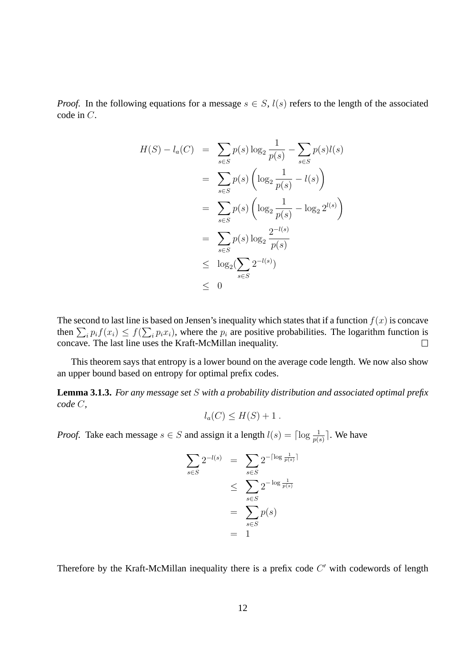*Proof.* In the following equations for a message  $s \in S$ ,  $l(s)$  refers to the length of the associated code in C.

$$
H(S) - l_a(C) = \sum_{s \in S} p(s) \log_2 \frac{1}{p(s)} - \sum_{s \in S} p(s)l(s)
$$
  

$$
= \sum_{s \in S} p(s) \left( \log_2 \frac{1}{p(s)} - l(s) \right)
$$
  

$$
= \sum_{s \in S} p(s) \left( \log_2 \frac{1}{p(s)} - \log_2 2^{l(s)} \right)
$$
  

$$
= \sum_{s \in S} p(s) \log_2 \frac{2^{-l(s)}}{p(s)}
$$
  

$$
\leq \log_2 (\sum_{s \in S} 2^{-l(s)})
$$
  

$$
\leq 0
$$

The second to last line is based on Jensen's inequality which states that if a function  $f(x)$  is concave then  $\sum_i p_i f(x_i) \le f(\sum_i p_i x_i)$ , where the  $p_i$  are positive probabilities. The logarithm function is concave. The last line uses the Kraft-McMillan inequality.

This theorem says that entropy is a lower bound on the average code length. We now also show an upper bound based on entropy for optimal prefix codes.

**Lemma 3.1.3.** *For any message set* S *with a probability distribution and associated optimal prefix code* C*,*

$$
l_a(C) \le H(S) + 1.
$$

*Proof.* Take each message  $s \in S$  and assign it a length  $l(s) = \lceil \log \frac{1}{p(s)} \rceil$ . We have

$$
\sum_{s \in S} 2^{-l(s)} = \sum_{s \in S} 2^{-\lceil \log \frac{1}{p(s)} \rceil}
$$
  

$$
\leq \sum_{s \in S} 2^{-\log \frac{1}{p(s)}}
$$
  

$$
= \sum_{s \in S} p(s)
$$
  

$$
= 1
$$

Therefore by the Kraft-McMillan inequality there is a prefix code  $C'$  with codewords of length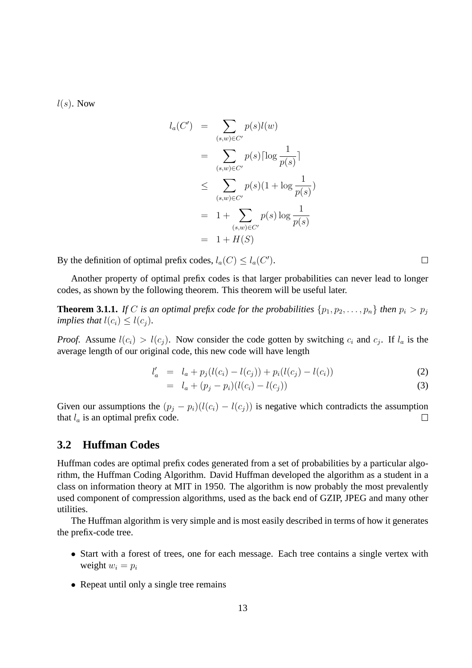$l(s)$ . Now

$$
l_a(C') = \sum_{(s,w)\in C'} p(s)l(w)
$$
  
= 
$$
\sum_{(s,w)\in C'} p(s) \lceil \log \frac{1}{p(s)} \rceil
$$
  

$$
\leq \sum_{(s,w)\in C'} p(s) (1 + \log \frac{1}{p(s)})
$$
  
= 
$$
1 + \sum_{(s,w)\in C'} p(s) \log \frac{1}{p(s)}
$$
  
= 
$$
1 + H(S)
$$

By the definition of optimal prefix codes,  $l_a(C) \le l_a(C')$ .

Another property of optimal prefix codes is that larger probabilities can never lead to longer codes, as shown by the following theorem. This theorem will be useful later.

**Theorem 3.1.1.** *If* C *is an optimal prefix code for the probabilities*  $\{p_1, p_2, \ldots, p_n\}$  *then*  $p_i > p_j$ *implies that*  $l(c_i) \leq l(c_j)$ *.* 

*Proof.* Assume  $l(c_i) > l(c_j)$ . Now consider the code gotten by switching  $c_i$  and  $c_j$ . If  $l_a$  is the average length of our original code, this new code will have length

$$
l'_a = l_a + p_j(l(c_i) - l(c_j)) + p_i(l(c_j) - l(c_i))
$$
\n(2)

$$
= l_a + (p_j - p_i)(l(c_i) - l(c_j)) \tag{3}
$$

Given our assumptions the  $(p_j - p_i)(l(c_i) - l(c_j))$  is negative which contradicts the assumption that  $l_a$  is an optimal prefix code.  $\Box$ 

#### **3.2 Huffman Codes**

Huffman codes are optimal prefix codes generated from a set of probabilities by a particular algorithm, the Huffman Coding Algorithm. David Huffman developed the algorithm as a student in a class on information theory at MIT in 1950. The algorithm is now probably the most prevalently used component of compression algorithms, used as the back end of GZIP, JPEG and many other utilities.

The Huffman algorithm is very simple and is most easily described in terms of how it generates the prefix-code tree.

- Start with a forest of trees, one for each message. Each tree contains a single vertex with weight  $w_i = p_i$
- Repeat until only a single tree remains

 $\Box$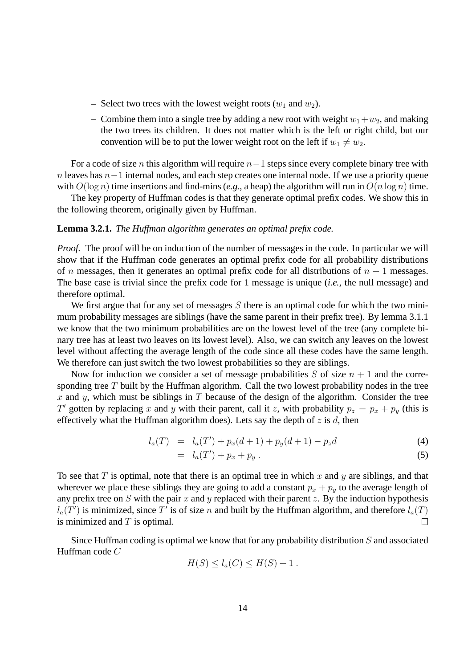- **–** Select two trees with the lowest weight roots  $(w_1 \text{ and } w_2)$ .
- Combine them into a single tree by adding a new root with weight  $w_1 + w_2$ , and making the two trees its children. It does not matter which is the left or right child, but our convention will be to put the lower weight root on the left if  $w_1 \neq w_2$ .

For a code of size *n* this algorithm will require  $n-1$  steps since every complete binary tree with n leaves has  $n-1$  internal nodes, and each step creates one internal node. If we use a priority queue with  $O(\log n)$  time insertions and find-mins (*e.g.*, a heap) the algorithm will run in  $O(n \log n)$  time.

The key property of Huffman codes is that they generate optimal prefix codes. We show this in the following theorem, originally given by Huffman.

#### **Lemma 3.2.1.** *The Huffman algorithm generates an optimal prefix code.*

*Proof.* The proof will be on induction of the number of messages in the code. In particular we will show that if the Huffman code generates an optimal prefix code for all probability distributions of *n* messages, then it generates an optimal prefix code for all distributions of  $n + 1$  messages. The base case is trivial since the prefix code for 1 message is unique (*i.e.*, the null message) and therefore optimal.

We first argue that for any set of messages  $S$  there is an optimal code for which the two minimum probability messages are siblings (have the same parent in their prefix tree). By lemma 3.1.1 we know that the two minimum probabilities are on the lowest level of the tree (any complete binary tree has at least two leaves on its lowest level). Also, we can switch any leaves on the lowest level without affecting the average length of the code since all these codes have the same length. We therefore can just switch the two lowest probabilities so they are siblings.

Now for induction we consider a set of message probabilities S of size  $n + 1$  and the corresponding tree  $T$  built by the Huffman algorithm. Call the two lowest probability nodes in the tree x and y, which must be siblings in  $T$  because of the design of the algorithm. Consider the tree T' gotten by replacing x and y with their parent, call it z, with probability  $p_z = p_x + p_y$  (this is effectively what the Huffman algorithm does). Lets say the depth of  $z$  is  $d$ , then

$$
l_a(T) = l_a(T') + p_x(d+1) + p_y(d+1) - p_zd \tag{4}
$$

$$
= l_a(T') + p_x + p_y \tag{5}
$$

To see that T is optimal, note that there is an optimal tree in which x and y are siblings, and that wherever we place these siblings they are going to add a constant  $p_x + p_y$  to the average length of any prefix tree on S with the pair x and y replaced with their parent z. By the induction hypothesis  $l_a(T')$  is minimized, since T' is of size n and built by the Huffman algorithm, and therefore  $l_a(T)$ is minimized and  $T$  is optimal.  $\Box$ 

Since Huffman coding is optimal we know that for any probability distribution  $S$  and associated Huffman code C

$$
H(S) \le l_a(C) \le H(S) + 1.
$$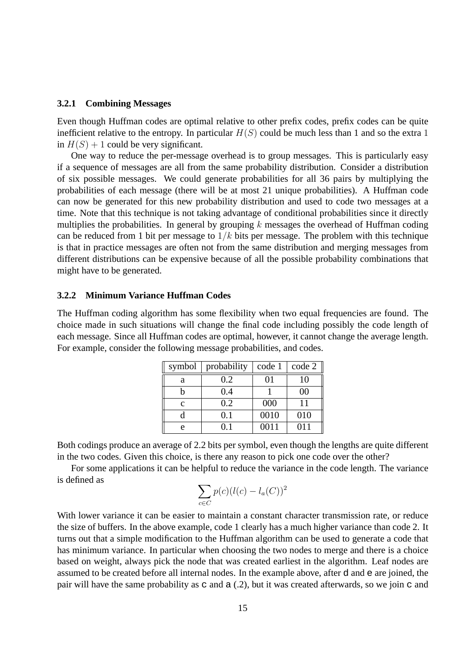#### **3.2.1 Combining Messages**

Even though Huffman codes are optimal relative to other prefix codes, prefix codes can be quite inefficient relative to the entropy. In particular  $H(S)$  could be much less than 1 and so the extra 1 in  $H(S) + 1$  could be very significant.

One way to reduce the per-message overhead is to group messages. This is particularly easy if a sequence of messages are all from the same probability distribution. Consider a distribution of six possible messages. We could generate probabilities for all 36 pairs by multiplying the probabilities of each message (there will be at most 21 unique probabilities). A Huffman code can now be generated for this new probability distribution and used to code two messages at a time. Note that this technique is not taking advantage of conditional probabilities since it directly multiplies the probabilities. In general by grouping  $k$  messages the overhead of Huffman coding can be reduced from 1 bit per message to  $1/k$  bits per message. The problem with this technique is that in practice messages are often not from the same distribution and merging messages from different distributions can be expensive because of all the possible probability combinations that might have to be generated.

#### **3.2.2 Minimum Variance Huffman Codes**

The Huffman coding algorithm has some flexibility when two equal frequencies are found. The choice made in such situations will change the final code including possibly the code length of each message. Since all Huffman codes are optimal, however, it cannot change the average length. For example, consider the following message probabilities, and codes.

| symbol       | probability | code 1 | code 2 |
|--------------|-------------|--------|--------|
| a            | 0.2         | 01     | 10     |
|              | 0.4         |        | 00     |
| $\mathbf{C}$ | 0.2         | 000    | 11     |
|              | 0.1         | 0010   | 010    |
| e            | በ 1         | 0011   | 011    |

Both codings produce an average of 2.2 bits per symbol, even though the lengths are quite different in the two codes. Given this choice, is there any reason to pick one code over the other?

For some applications it can be helpful to reduce the variance in the code length. The variance is defined as

$$
\sum_{c \in C} p(c)(l(c) - l_a(C))^2
$$

With lower variance it can be easier to maintain a constant character transmission rate, or reduce the size of buffers. In the above example, code 1 clearly has a much higher variance than code 2. It turns out that a simple modification to the Huffman algorithm can be used to generate a code that has minimum variance. In particular when choosing the two nodes to merge and there is a choice based on weight, always pick the node that was created earliest in the algorithm. Leaf nodes are assumed to be created before all internal nodes. In the example above, after d and e are joined, the pair will have the same probability as c and a (.2), but it was created afterwards, so we join c and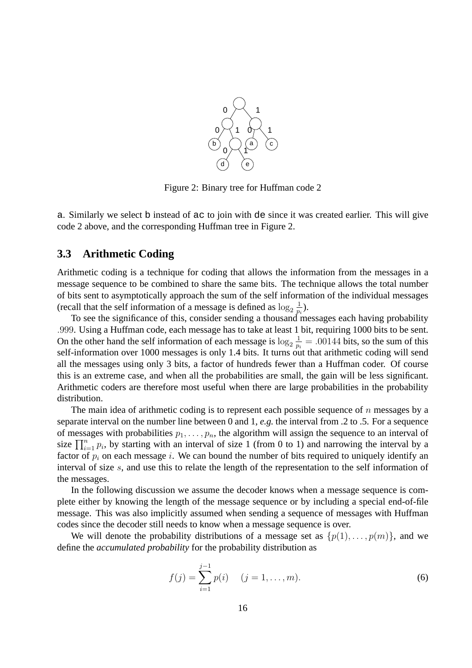

Figure 2: Binary tree for Huffman code 2

a. Similarly we select b instead of ac to join with de since it was created earlier. This will give code 2 above, and the corresponding Huffman tree in Figure 2.

#### **3.3 Arithmetic Coding**

Arithmetic coding is a technique for coding that allows the information from the messages in a message sequence to be combined to share the same bits. The technique allows the total number of bits sent to asymptotically approach the sum of the self information of the individual messages (recall that the self information of a message is defined as  $\log_2 \frac{1}{p_1}$  $\frac{1}{p_i}$ ).

To see the significance of this, consider sending a thousand messages each having probability .999. Using a Huffman code, each message has to take at least 1 bit, requiring 1000 bits to be sent. On the other hand the self information of each message is  $\log_2 \frac{1}{p_1}$  $\frac{1}{p_i}$  = .00144 bits, so the sum of this self-information over 1000 messages is only 1.4 bits. It turns out that arithmetic coding will send all the messages using only 3 bits, a factor of hundreds fewer than a Huffman coder. Of course this is an extreme case, and when all the probabilities are small, the gain will be less significant. Arithmetic coders are therefore most useful when there are large probabilities in the probability distribution.

The main idea of arithmetic coding is to represent each possible sequence of  $n$  messages by a separate interval on the number line between 0 and 1, *e.g.* the interval from .2 to .5. For a sequence of messages with probabilities  $p_1, \ldots, p_n$ , the algorithm will assign the sequence to an interval of size  $\prod_{i=1}^{n} p_i$ , by starting with an interval of size 1 (from 0 to 1) and narrowing the interval by a factor of  $p_i$  on each message i. We can bound the number of bits required to uniquely identify an interval of size s, and use this to relate the length of the representation to the self information of the messages.

In the following discussion we assume the decoder knows when a message sequence is complete either by knowing the length of the message sequence or by including a special end-of-file message. This was also implicitly assumed when sending a sequence of messages with Huffman codes since the decoder still needs to know when a message sequence is over.

We will denote the probability distributions of a message set as  $\{p(1), \ldots, p(m)\}\)$ , and we define the *accumulated probability* for the probability distribution as

$$
f(j) = \sum_{i=1}^{j-1} p(i) \quad (j = 1, \dots, m).
$$
 (6)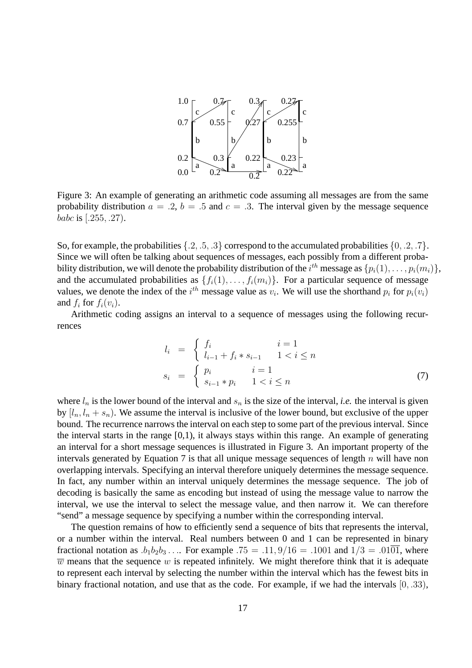

Figure 3: An example of generating an arithmetic code assuming all messages are from the same probability distribution  $a = .2$ ,  $b = .5$  and  $c = .3$ . The interval given by the message sequence babc is [.255, .27).

So, for example, the probabilities  $\{.2, .5, .3\}$  correspond to the accumulated probabilities  $\{0, .2, .7\}$ . Since we will often be talking about sequences of messages, each possibly from a different probability distribution, we will denote the probability distribution of the  $i^{th}$  message as  $\{p_i(1),\ldots,p_i(m_i)\},$ and the accumulated probabilities as  $\{f_i(1), \ldots, f_i(m_i)\}\$ . For a particular sequence of message values, we denote the index of the  $i^{th}$  message value as  $v_i$ . We will use the shorthand  $p_i$  for  $p_i(v_i)$ and  $f_i$  for  $f_i(v_i)$ .

Arithmetic coding assigns an interval to a sequence of messages using the following recurrences

$$
l_i = \begin{cases} f_i & i = 1\\ l_{i-1} + f_i * s_{i-1} & 1 < i \le n \end{cases}
$$
  

$$
s_i = \begin{cases} p_i & i = 1\\ s_{i-1} * p_i & 1 < i \le n \end{cases}
$$
 (7)

where  $l_n$  is the lower bound of the interval and  $s_n$  is the size of the interval, *i.e.* the interval is given by  $[l_n, l_n + s_n]$ . We assume the interval is inclusive of the lower bound, but exclusive of the upper bound. The recurrence narrows the interval on each step to some part of the previous interval. Since the interval starts in the range  $[0,1)$ , it always stays within this range. An example of generating an interval for a short message sequences is illustrated in Figure 3. An important property of the intervals generated by Equation 7 is that all unique message sequences of length  $n$  will have non overlapping intervals. Specifying an interval therefore uniquely determines the message sequence. In fact, any number within an interval uniquely determines the message sequence. The job of decoding is basically the same as encoding but instead of using the message value to narrow the interval, we use the interval to select the message value, and then narrow it. We can therefore "send" a message sequence by specifying a number within the corresponding interval.

The question remains of how to efficiently send a sequence of bits that represents the interval, or a number within the interval. Real numbers between 0 and 1 can be represented in binary fractional notation as  $.b_1b_2b_3 \ldots$  For example  $.75 = .11, 9/16 = .1001$  and  $1/3 = .01\overline{01}$ , where  $\overline{w}$  means that the sequence w is repeated infinitely. We might therefore think that it is adequate to represent each interval by selecting the number within the interval which has the fewest bits in binary fractional notation, and use that as the code. For example, if we had the intervals  $[0, .33)$ ,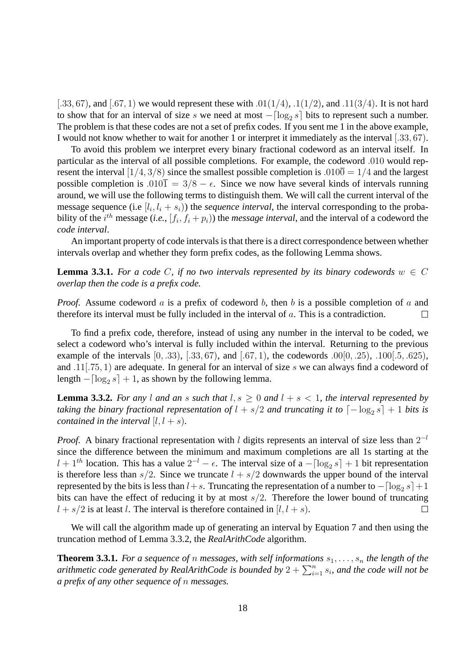[.33, 67], and [.67, 1] we would represent these with  $.01(1/4)$ ,  $.1(1/2)$ , and  $.11(3/4)$ . It is not hard to show that for an interval of size s we need at most  $-[\log_2 s]$  bits to represent such a number. The problem is that these codes are not a set of prefix codes. If you sent me 1 in the above example, I would not know whether to wait for another 1 or interpret it immediately as the interval [.33, 67).

To avoid this problem we interpret every binary fractional codeword as an interval itself. In particular as the interval of all possible completions. For example, the codeword .010 would represent the interval [1/4, 3/8] since the smallest possible completion is .010 $\overline{0} = 1/4$  and the largest possible completion is .010 $\overline{1} = 3/8 - \epsilon$ . Since we now have several kinds of intervals running around, we will use the following terms to distinguish them. We will call the current interval of the message sequence (i.e  $[l_i, l_i + s_i)$ ) the *sequence interval*, the interval corresponding to the probability of the  $i^{th}$  message (*i.e.*,  $[f_i, f_i + p_i)$ ) the *message interval*, and the interval of a codeword the *code interval*.

An important property of code intervals is that there is a direct correspondence between whether intervals overlap and whether they form prefix codes, as the following Lemma shows.

**Lemma 3.3.1.** *For a code C, if no two intervals represented by its binary codewords*  $w \in C$ *overlap then the code is a prefix code.*

*Proof.* Assume codeword a is a prefix of codeword b, then b is a possible completion of a and therefore its interval must be fully included in the interval of  $a$ . This is a contradiction. П

To find a prefix code, therefore, instead of using any number in the interval to be coded, we select a codeword who's interval is fully included within the interval. Returning to the previous example of the intervals  $[0, .33)$ ,  $[.33, 67)$ , and  $[.67, 1)$ , the codewords  $.00[0, .25)$ ,  $.100[.5, .625)$ , and .11[.75, 1) are adequate. In general for an interval of size s we can always find a codeword of length  $-[\log_2 s] + 1$ , as shown by the following lemma.

**Lemma 3.3.2.** For any l and an s such that  $l, s \geq 0$  and  $l + s < 1$ , the interval represented by taking the binary fractional representation of  $l + s/2$  and truncating it to  $\lceil -\log_2 s \rceil + 1$  bits is *contained in the interval*  $[l, l + s)$ *.* 

*Proof.* A binary fractional representation with l digits represents an interval of size less than  $2^{-l}$ since the difference between the minimum and maximum completions are all 1s starting at the  $l + 1<sup>th</sup>$  location. This has a value  $2<sup>-l</sup> - \epsilon$ . The interval size of a  $-[\log_2 s] + 1$  bit representation is therefore less than  $s/2$ . Since we truncate  $l + s/2$  downwards the upper bound of the interval represented by the bits is less than  $l+s$ . Truncating the representation of a number to  $- \lceil \log_2 s \rceil + 1$ bits can have the effect of reducing it by at most  $s/2$ . Therefore the lower bound of truncating  $l + s/2$  is at least l. The interval is therefore contained in [l, l + s). П

We will call the algorithm made up of generating an interval by Equation 7 and then using the truncation method of Lemma 3.3.2, the *RealArithCode* algorithm.

**Theorem 3.3.1.** For a sequence of *n* messages, with self informations  $s_1, \ldots, s_n$  the length of the arithmetic code generated by RealArithCode is bounded by  $2+\sum_{i=1}^n s_i$ , and the code will not be *a prefix of any other sequence of* n *messages.*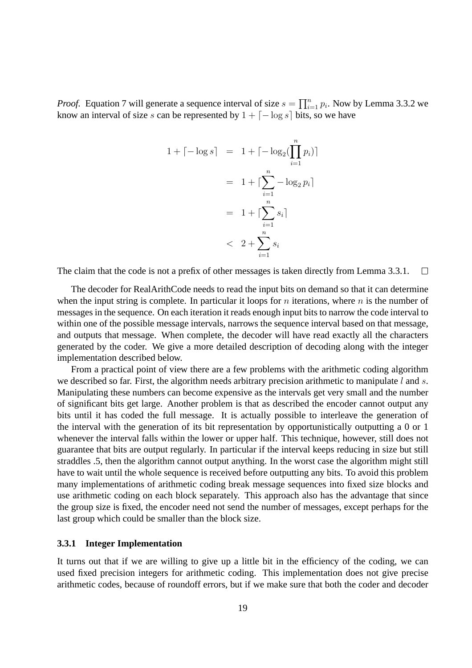*Proof.* Equation 7 will generate a sequence interval of size  $s = \prod_{i=1}^{n} p_i$ . Now by Lemma 3.3.2 we know an interval of size s can be represented by  $1 + \lceil -\log s \rceil$  bits, so we have

$$
1 + \lceil -\log s \rceil = 1 + \lceil -\log_2(\prod_{i=1}^n p_i) \rceil
$$

$$
= 1 + \lceil \sum_{i=1}^n -\log_2 p_i \rceil
$$

$$
= 1 + \lceil \sum_{i=1}^n s_i \rceil
$$

$$
< 2 + \sum_{i=1}^n s_i
$$

The claim that the code is not a prefix of other messages is taken directly from Lemma 3.3.1.  $\Box$ 

The decoder for RealArithCode needs to read the input bits on demand so that it can determine when the input string is complete. In particular it loops for  $n$  iterations, where  $n$  is the number of messages in the sequence. On each iteration it reads enough input bits to narrow the code interval to within one of the possible message intervals, narrows the sequence interval based on that message, and outputs that message. When complete, the decoder will have read exactly all the characters generated by the coder. We give a more detailed description of decoding along with the integer implementation described below.

From a practical point of view there are a few problems with the arithmetic coding algorithm we described so far. First, the algorithm needs arbitrary precision arithmetic to manipulate l and s. Manipulating these numbers can become expensive as the intervals get very small and the number of significant bits get large. Another problem is that as described the encoder cannot output any bits until it has coded the full message. It is actually possible to interleave the generation of the interval with the generation of its bit representation by opportunistically outputting a 0 or 1 whenever the interval falls within the lower or upper half. This technique, however, still does not guarantee that bits are output regularly. In particular if the interval keeps reducing in size but still straddles .5, then the algorithm cannot output anything. In the worst case the algorithm might still have to wait until the whole sequence is received before outputting any bits. To avoid this problem many implementations of arithmetic coding break message sequences into fixed size blocks and use arithmetic coding on each block separately. This approach also has the advantage that since the group size is fixed, the encoder need not send the number of messages, except perhaps for the last group which could be smaller than the block size.

#### **3.3.1 Integer Implementation**

It turns out that if we are willing to give up a little bit in the efficiency of the coding, we can used fixed precision integers for arithmetic coding. This implementation does not give precise arithmetic codes, because of roundoff errors, but if we make sure that both the coder and decoder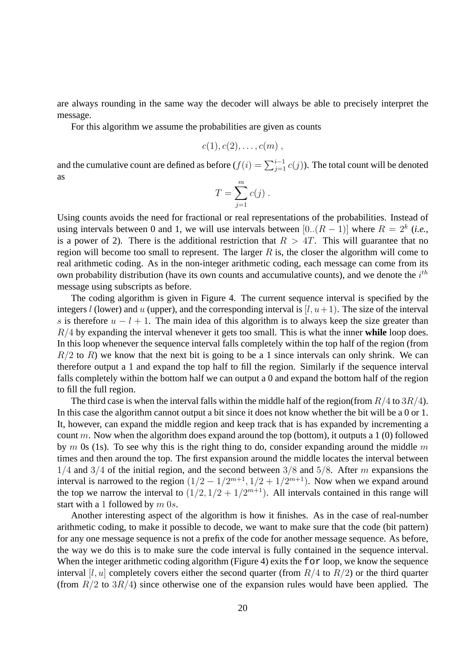are always rounding in the same way the decoder will always be able to precisely interpret the message.

For this algorithm we assume the probabilities are given as counts

$$
c(1),c(2),\ldots,c(m) ,
$$

and the cumulative count are defined as before  $(f(i) = \sum_{j=1}^{i-1} c(j))$ . The total count will be denoted as

$$
T = \sum_{j=1}^{m} c(j) .
$$

Using counts avoids the need for fractional or real representations of the probabilities. Instead of using intervals between 0 and 1, we will use intervals between  $[0..(R-1)]$  where  $R = 2<sup>k</sup>$  (*i.e.*, is a power of 2). There is the additional restriction that  $R > 4T$ . This will guarantee that no region will become too small to represent. The larger  $R$  is, the closer the algorithm will come to real arithmetic coding. As in the non-integer arithmetic coding, each message can come from its own probability distribution (have its own counts and accumulative counts), and we denote the  $i^{th}$ message using subscripts as before.

The coding algorithm is given in Figure 4. The current sequence interval is specified by the integers l (lower) and u (upper), and the corresponding interval is  $[l, u+1]$ . The size of the interval s is therefore  $u - l + 1$ . The main idea of this algorithm is to always keep the size greater than R/4 by expanding the interval whenever it gets too small. This is what the inner **while** loop does. In this loop whenever the sequence interval falls completely within the top half of the region (from  $R/2$  to R) we know that the next bit is going to be a 1 since intervals can only shrink. We can therefore output a 1 and expand the top half to fill the region. Similarly if the sequence interval falls completely within the bottom half we can output a 0 and expand the bottom half of the region to fill the full region.

The third case is when the interval falls within the middle half of the region(from  $R/4$  to  $3R/4$ ). In this case the algorithm cannot output a bit since it does not know whether the bit will be a 0 or 1. It, however, can expand the middle region and keep track that is has expanded by incrementing a count m. Now when the algorithm does expand around the top (bottom), it outputs a 1 (0) followed by m 0s (1s). To see why this is the right thing to do, consider expanding around the middle m times and then around the top. The first expansion around the middle locates the interval between  $1/4$  and  $3/4$  of the initial region, and the second between  $3/8$  and  $5/8$ . After m expansions the interval is narrowed to the region  $(1/2 - 1/2^{m+1}, 1/2 + 1/2^{m+1})$ . Now when we expand around the top we narrow the interval to  $(1/2, 1/2+1/2^{m+1})$ . All intervals contained in this range will start with a 1 followed by  $m$  0s.

Another interesting aspect of the algorithm is how it finishes. As in the case of real-number arithmetic coding, to make it possible to decode, we want to make sure that the code (bit pattern) for any one message sequence is not a prefix of the code for another message sequence. As before, the way we do this is to make sure the code interval is fully contained in the sequence interval. When the integer arithmetic coding algorithm (Figure 4) exits the for loop, we know the sequence interval [l, u] completely covers either the second quarter (from  $R/4$  to  $R/2$ ) or the third quarter (from  $R/2$  to  $3R/4$ ) since otherwise one of the expansion rules would have been applied. The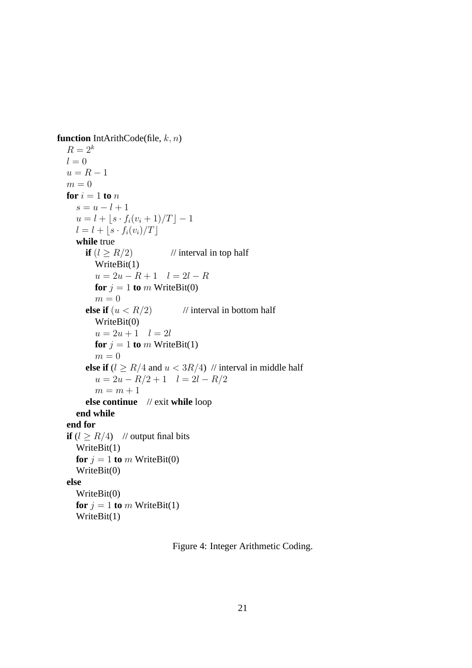**function** IntArithCode(file, k, n)  $R=2^k$  $l = 0$  $u = R - 1$  $m = 0$ **for**  $i = 1$  **to**  $n$  $s = u - l + 1$  $u = l + |s \cdot f_i(v_i + 1)/T| - 1$  $l = l + |s \cdot f_i(v_i)/T|$ **while** true **if**  $(l \geq R/2)$  // interval in top half WriteBit(1)  $u = 2u - R + 1$   $l = 2l - R$ **for**  $j = 1$  **to** m WriteBit(0)  $m = 0$ **else if**  $(u < R/2)$  // interval in bottom half WriteBit(0)  $u = 2u + 1$   $l = 2l$ **for**  $j = 1$  **to** m WriteBit(1)  $m = 0$ **else if**  $(l \geq R/4$  and  $u < 3R/4$ ) // interval in middle half  $u = 2u - R/2 + 1$   $l = 2l - R/2$  $m = m + 1$ **else continue** // exit **while** loop **end while end for if**  $(l \geq R/4)$  // output final bits WriteBit(1) **for**  $j = 1$  **to** m WriteBit(0) WriteBit(0) **else** WriteBit(0) **for**  $j = 1$  **to** m WriteBit(1) WriteBit(1)

Figure 4: Integer Arithmetic Coding.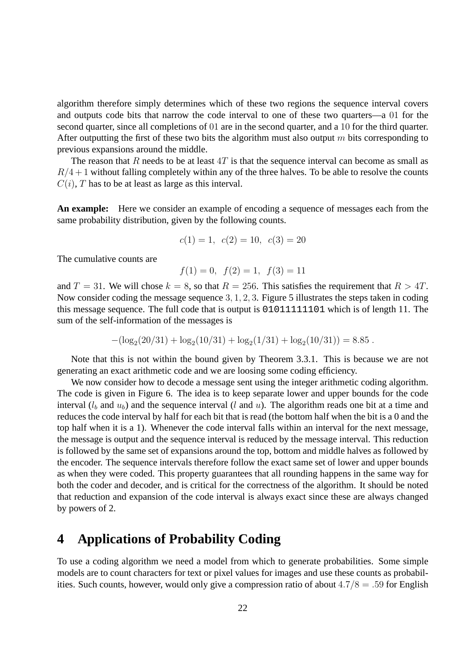algorithm therefore simply determines which of these two regions the sequence interval covers and outputs code bits that narrow the code interval to one of these two quarters—a 01 for the second quarter, since all completions of 01 are in the second quarter, and a 10 for the third quarter. After outputting the first of these two bits the algorithm must also output  $m$  bits corresponding to previous expansions around the middle.

The reason that R needs to be at least  $4T$  is that the sequence interval can become as small as  $R/4 + 1$  without falling completely within any of the three halves. To be able to resolve the counts  $C(i)$ , T has to be at least as large as this interval.

**An example:** Here we consider an example of encoding a sequence of messages each from the same probability distribution, given by the following counts.

$$
c(1) = 1, \ c(2) = 10, \ c(3) = 20
$$

The cumulative counts are

$$
f(1) = 0
$$
,  $f(2) = 1$ ,  $f(3) = 11$ 

and  $T = 31$ . We will chose  $k = 8$ , so that  $R = 256$ . This satisfies the requirement that  $R > 4T$ . Now consider coding the message sequence 3, 1, 2, 3. Figure 5 illustrates the steps taken in coding this message sequence. The full code that is output is 01011111101 which is of length 11. The sum of the self-information of the messages is

$$
-(\log_2(20/31) + \log_2(10/31) + \log_2(1/31) + \log_2(10/31)) = 8.85.
$$

Note that this is not within the bound given by Theorem 3.3.1. This is because we are not generating an exact arithmetic code and we are loosing some coding efficiency.

We now consider how to decode a message sent using the integer arithmetic coding algorithm. The code is given in Figure 6. The idea is to keep separate lower and upper bounds for the code interval  $(l_b$  and  $u_b$ ) and the sequence interval (l and u). The algorithm reads one bit at a time and reduces the code interval by half for each bit that is read (the bottom half when the bit is a 0 and the top half when it is a 1). Whenever the code interval falls within an interval for the next message, the message is output and the sequence interval is reduced by the message interval. This reduction is followed by the same set of expansions around the top, bottom and middle halves as followed by the encoder. The sequence intervals therefore follow the exact same set of lower and upper bounds as when they were coded. This property guarantees that all rounding happens in the same way for both the coder and decoder, and is critical for the correctness of the algorithm. It should be noted that reduction and expansion of the code interval is always exact since these are always changed by powers of 2.

## **4 Applications of Probability Coding**

To use a coding algorithm we need a model from which to generate probabilities. Some simple models are to count characters for text or pixel values for images and use these counts as probabilities. Such counts, however, would only give a compression ratio of about  $4.7/8 = .59$  for English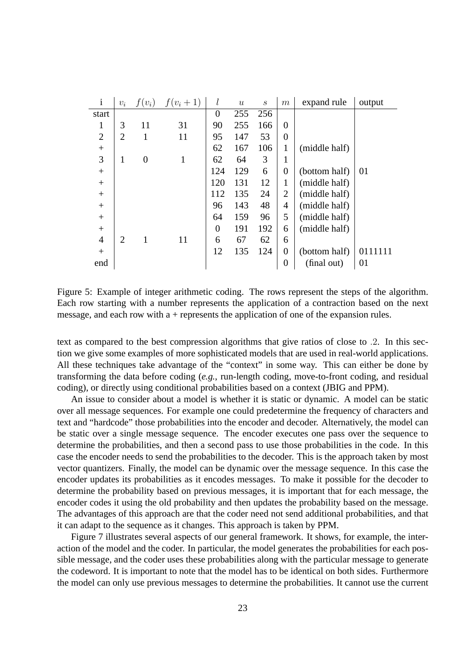| $\mathbf{i}$   | $v_i$          | $f(v_i)$       | $f(v_i+1)$ | l              | $\boldsymbol{u}$ | $\mathcal{S}_{\mathcal{S}}$ | m              | expand rule   | output  |
|----------------|----------------|----------------|------------|----------------|------------------|-----------------------------|----------------|---------------|---------|
| start          |                |                |            | $\overline{0}$ | 255              | 256                         |                |               |         |
| 1              | 3              | 11             | 31         | 90             | 255              | 166                         | $\theta$       |               |         |
| $\overline{2}$ | $\overline{2}$ |                | 11         | 95             | 147              | 53                          | $\overline{0}$ |               |         |
| $^{+}$         |                |                |            | 62             | 167              | 106                         | 1              | (middle half) |         |
| 3              | 1              | $\overline{0}$ | 1          | 62             | 64               | 3                           | 1              |               |         |
| $^{+}$         |                |                |            | 124            | 129              | 6                           | $\overline{0}$ | (bottom half) | 01      |
| $^{+}$         |                |                |            | 120            | 131              | 12                          | 1              | (middle half) |         |
| $+$            |                |                |            | 112            | 135              | 24                          | 2              | (middle half) |         |
| $^{+}$         |                |                |            | 96             | 143              | 48                          | 4              | (middle half) |         |
| $^{+}$         |                |                |            | 64             | 159              | 96                          | 5              | (middle half) |         |
| $^{+}$         |                |                |            | $\overline{0}$ | 191              | 192                         | 6              | (middle half) |         |
| $\overline{4}$ | $\overline{2}$ |                | 11         | 6              | 67               | 62                          | 6              |               |         |
| $+$            |                |                |            | 12             | 135              | 124                         | $\overline{0}$ | (bottom half) | 0111111 |
| end            |                |                |            |                |                  |                             | $\overline{0}$ | (final out)   | 01      |

Figure 5: Example of integer arithmetic coding. The rows represent the steps of the algorithm. Each row starting with a number represents the application of a contraction based on the next message, and each row with a + represents the application of one of the expansion rules.

text as compared to the best compression algorithms that give ratios of close to .2. In this section we give some examples of more sophisticated models that are used in real-world applications. All these techniques take advantage of the "context" in some way. This can either be done by transforming the data before coding (*e.g.*, run-length coding, move-to-front coding, and residual coding), or directly using conditional probabilities based on a context (JBIG and PPM).

An issue to consider about a model is whether it is static or dynamic. A model can be static over all message sequences. For example one could predetermine the frequency of characters and text and "hardcode" those probabilities into the encoder and decoder. Alternatively, the model can be static over a single message sequence. The encoder executes one pass over the sequence to determine the probabilities, and then a second pass to use those probabilities in the code. In this case the encoder needs to send the probabilities to the decoder. This is the approach taken by most vector quantizers. Finally, the model can be dynamic over the message sequence. In this case the encoder updates its probabilities as it encodes messages. To make it possible for the decoder to determine the probability based on previous messages, it is important that for each message, the encoder codes it using the old probability and then updates the probability based on the message. The advantages of this approach are that the coder need not send additional probabilities, and that it can adapt to the sequence as it changes. This approach is taken by PPM.

Figure 7 illustrates several aspects of our general framework. It shows, for example, the interaction of the model and the coder. In particular, the model generates the probabilities for each possible message, and the coder uses these probabilities along with the particular message to generate the codeword. It is important to note that the model has to be identical on both sides. Furthermore the model can only use previous messages to determine the probabilities. It cannot use the current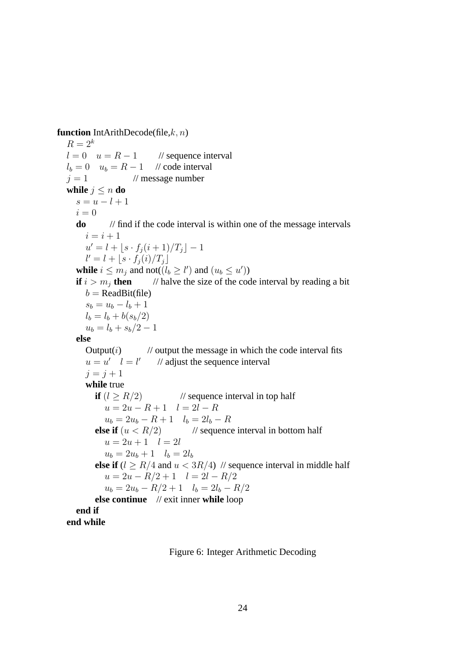**function** IntArithDecode(file,k, n)

 $R = 2^k$  $l = 0$   $u = R - 1$  // sequence interval  $l_b = 0$   $u_b = R - 1$  // code interval  $j = 1$  // message number **while**  $j \leq n$  **do**  $s = u - l + 1$  $i = 0$ **do** // find if the code interval is within one of the message intervals  $i = i + 1$  $u' = l + \lfloor s \cdot f_j(i+1)/T_j \rfloor - 1$  $l' = l + \lfloor s \cdot f_j(i)/T_j \rfloor$ **while**  $i \leq m_j$  and not( $(l_b \geq l')$  and  $(u_b \leq u')$ ) **if**  $i > m<sub>i</sub>$  **then** // halve the size of the code interval by reading a bit  $b = ReadBit(file)$  $s_b = u_b - l_b + 1$  $l_b = l_b + b(s_b/2)$  $u_b = l_b + s_b/2 - 1$ **else** Output $(i)$  // output the message in which the code interval fits  $u = u' \quad l = l'$ // adjust the sequence interval  $j = j + 1$ **while** true **if**  $(l > R/2)$  // sequence interval in top half  $u = 2u - R + 1$   $l = 2l - R$  $u_b = 2u_b - R + 1$   $l_b = 2l_b - R$ **else if**  $(u < R/2)$  // sequence interval in bottom half  $u = 2u + 1$   $l = 2l$  $u_b = 2u_b + 1$   $l_b = 2l_b$ **else if**  $(l > R/4$  and  $u < 3R/4$ ) // sequence interval in middle half  $u = 2u - R/2 + 1$   $l = 2l - R/2$  $u_b = 2u_b - R/2 + 1$   $l_b = 2l_b - R/2$ **else continue** // exit inner **while** loop **end if end while**

Figure 6: Integer Arithmetic Decoding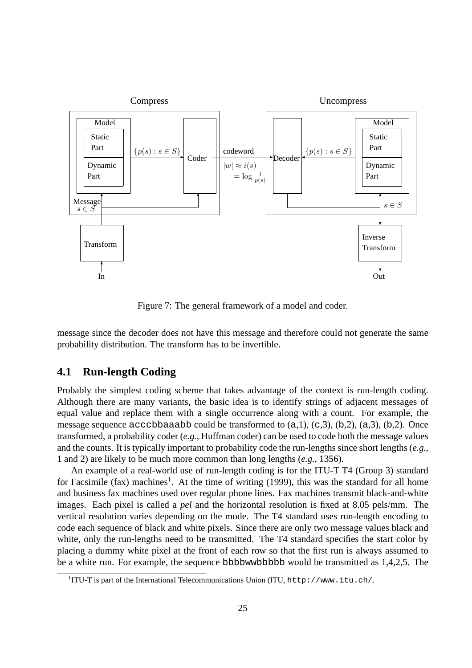

Figure 7: The general framework of a model and coder.

message since the decoder does not have this message and therefore could not generate the same probability distribution. The transform has to be invertible.

### **4.1 Run-length Coding**

Probably the simplest coding scheme that takes advantage of the context is run-length coding. Although there are many variants, the basic idea is to identify strings of adjacent messages of equal value and replace them with a single occurrence along with a count. For example, the message sequence acccbbaaabb could be transformed to  $(a,1)$ ,  $(c,3)$ ,  $(b,2)$ ,  $(a,3)$ ,  $(b,2)$ . Once transformed, a probability coder (*e.g.*, Huffman coder) can be used to code both the message values and the counts. It is typically important to probability code the run-lengths since short lengths (*e.g.*, 1 and 2) are likely to be much more common than long lengths (*e.g.*, 1356).

An example of a real-world use of run-length coding is for the ITU-T T4 (Group 3) standard for Facsimile (fax) machines<sup>1</sup>. At the time of writing (1999), this was the standard for all home and business fax machines used over regular phone lines. Fax machines transmit black-and-white images. Each pixel is called a *pel* and the horizontal resolution is fixed at 8.05 pels/mm. The vertical resolution varies depending on the mode. The T4 standard uses run-length encoding to code each sequence of black and white pixels. Since there are only two message values black and white, only the run-lengths need to be transmitted. The T4 standard specifies the start color by placing a dummy white pixel at the front of each row so that the first run is always assumed to be a white run. For example, the sequence bbbbwwbbbbb would be transmitted as 1,4,2,5. The

<sup>&</sup>lt;sup>1</sup>ITU-T is part of the International Telecommunications Union (ITU, http://www.itu.ch/.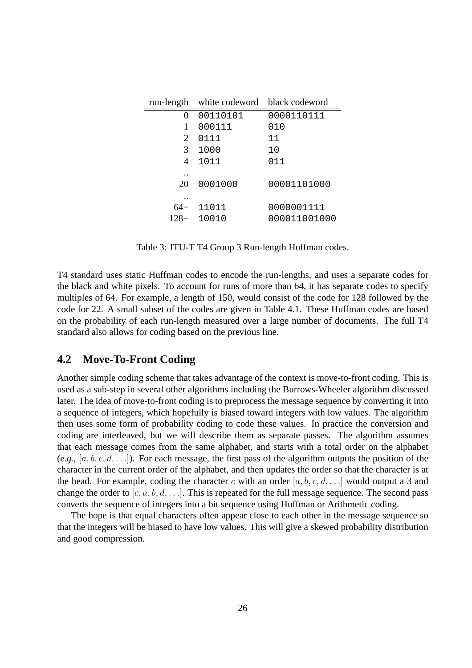|        | run-length white codeword black codeword |              |
|--------|------------------------------------------|--------------|
| 0      | 00110101                                 | 0000110111   |
|        | 000111                                   | 010          |
| 2      | 0111                                     | 11           |
| 3      | 1000                                     | 1 O          |
| 4      | 1011                                     | 011          |
|        |                                          |              |
| 20     | 0001000                                  | 00001101000  |
|        |                                          |              |
| 64+    | 11011                                    | 0000001111   |
| $128+$ | 10010                                    | 000011001000 |

Table 3: ITU-T T4 Group 3 Run-length Huffman codes.

T4 standard uses static Huffman codes to encode the run-lengths, and uses a separate codes for the black and white pixels. To account for runs of more than 64, it has separate codes to specify multiples of 64. For example, a length of 150, would consist of the code for 128 followed by the code for 22. A small subset of the codes are given in Table 4.1. These Huffman codes are based on the probability of each run-length measured over a large number of documents. The full T4 standard also allows for coding based on the previous line.

## **4.2 Move-To-Front Coding**

Another simple coding scheme that takes advantage of the context is move-to-front coding. This is used as a sub-step in several other algorithms including the Burrows-Wheeler algorithm discussed later. The idea of move-to-front coding is to preprocess the message sequence by converting it into a sequence of integers, which hopefully is biased toward integers with low values. The algorithm then uses some form of probability coding to code these values. In practice the conversion and coding are interleaved, but we will describe them as separate passes. The algorithm assumes that each message comes from the same alphabet, and starts with a total order on the alphabet  $(e.g., [a, b, c, d, \ldots])$ . For each message, the first pass of the algorithm outputs the position of the character in the current order of the alphabet, and then updates the order so that the character is at the head. For example, coding the character c with an order  $[a, b, c, d, \ldots]$  would output a 3 and change the order to  $[c, a, b, d, \ldots]$ . This is repeated for the full message sequence. The second pass converts the sequence of integers into a bit sequence using Huffman or Arithmetic coding.

The hope is that equal characters often appear close to each other in the message sequence so that the integers will be biased to have low values. This will give a skewed probability distribution and good compression.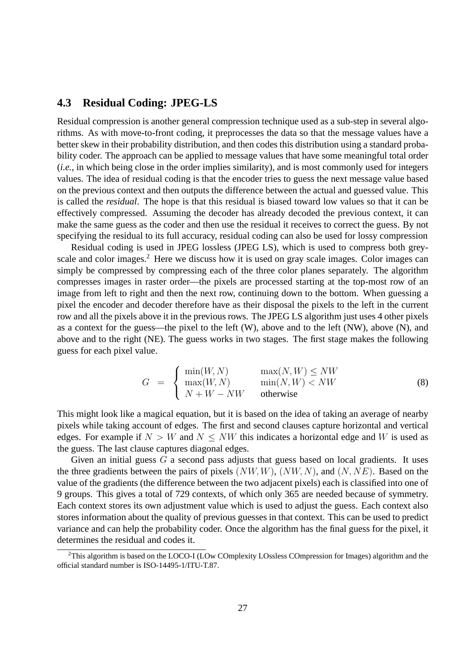### **4.3 Residual Coding: JPEG-LS**

Residual compression is another general compression technique used as a sub-step in several algorithms. As with move-to-front coding, it preprocesses the data so that the message values have a better skew in their probability distribution, and then codes this distribution using a standard probability coder. The approach can be applied to message values that have some meaningful total order (*i.e.*, in which being close in the order implies similarity), and is most commonly used for integers values. The idea of residual coding is that the encoder tries to guess the next message value based on the previous context and then outputs the difference between the actual and guessed value. This is called the *residual*. The hope is that this residual is biased toward low values so that it can be effectively compressed. Assuming the decoder has already decoded the previous context, it can make the same guess as the coder and then use the residual it receives to correct the guess. By not specifying the residual to its full accuracy, residual coding can also be used for lossy compression

Residual coding is used in JPEG lossless (JPEG LS), which is used to compress both greyscale and color images.<sup>2</sup> Here we discuss how it is used on gray scale images. Color images can simply be compressed by compressing each of the three color planes separately. The algorithm compresses images in raster order—the pixels are processed starting at the top-most row of an image from left to right and then the next row, continuing down to the bottom. When guessing a pixel the encoder and decoder therefore have as their disposal the pixels to the left in the current row and all the pixels above it in the previous rows. The JPEG LS algorithm just uses 4 other pixels as a context for the guess—the pixel to the left (W), above and to the left (NW), above (N), and above and to the right (NE). The guess works in two stages. The first stage makes the following guess for each pixel value.

$$
G = \begin{cases} \min(W, N) & \max(N, W) \le NW \\ \max(W, N) & \min(N, W) < NW \\ N + W - NW & \text{otherwise} \end{cases}
$$
 (8)

This might look like a magical equation, but it is based on the idea of taking an average of nearby pixels while taking account of edges. The first and second clauses capture horizontal and vertical edges. For example if  $N > W$  and  $N \leq NW$  this indicates a horizontal edge and W is used as the guess. The last clause captures diagonal edges.

Given an initial guess  $G$  a second pass adjusts that guess based on local gradients. It uses the three gradients between the pairs of pixels  $(NW, W), (NW, N),$  and  $(N, NE)$ . Based on the value of the gradients (the difference between the two adjacent pixels) each is classified into one of 9 groups. This gives a total of 729 contexts, of which only 365 are needed because of symmetry. Each context stores its own adjustment value which is used to adjust the guess. Each context also stores information about the quality of previous guesses in that context. This can be used to predict variance and can help the probability coder. Once the algorithm has the final guess for the pixel, it determines the residual and codes it.

<sup>&</sup>lt;sup>2</sup>This algorithm is based on the LOCO-I (LOw COmplexity LOssless COmpression for Images) algorithm and the official standard number is ISO-14495-1/ITU-T.87.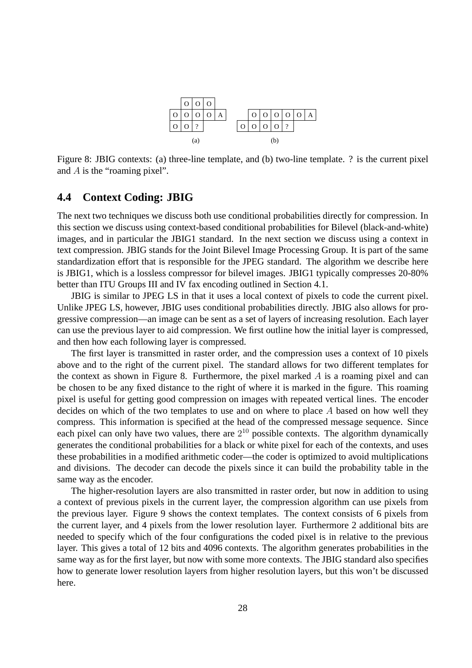

Figure 8: JBIG contexts: (a) three-line template, and (b) two-line template. ? is the current pixel and A is the "roaming pixel".

#### **4.4 Context Coding: JBIG**

The next two techniques we discuss both use conditional probabilities directly for compression. In this section we discuss using context-based conditional probabilities for Bilevel (black-and-white) images, and in particular the JBIG1 standard. In the next section we discuss using a context in text compression. JBIG stands for the Joint Bilevel Image Processing Group. It is part of the same standardization effort that is responsible for the JPEG standard. The algorithm we describe here is JBIG1, which is a lossless compressor for bilevel images. JBIG1 typically compresses 20-80% better than ITU Groups III and IV fax encoding outlined in Section 4.1.

JBIG is similar to JPEG LS in that it uses a local context of pixels to code the current pixel. Unlike JPEG LS, however, JBIG uses conditional probabilities directly. JBIG also allows for progressive compression—an image can be sent as a set of layers of increasing resolution. Each layer can use the previous layer to aid compression. We first outline how the initial layer is compressed, and then how each following layer is compressed.

The first layer is transmitted in raster order, and the compression uses a context of 10 pixels above and to the right of the current pixel. The standard allows for two different templates for the context as shown in Figure 8. Furthermore, the pixel marked  $\Lambda$  is a roaming pixel and can be chosen to be any fixed distance to the right of where it is marked in the figure. This roaming pixel is useful for getting good compression on images with repeated vertical lines. The encoder decides on which of the two templates to use and on where to place  $A$  based on how well they compress. This information is specified at the head of the compressed message sequence. Since each pixel can only have two values, there are  $2^{10}$  possible contexts. The algorithm dynamically generates the conditional probabilities for a black or white pixel for each of the contexts, and uses these probabilities in a modified arithmetic coder—the coder is optimized to avoid multiplications and divisions. The decoder can decode the pixels since it can build the probability table in the same way as the encoder.

The higher-resolution layers are also transmitted in raster order, but now in addition to using a context of previous pixels in the current layer, the compression algorithm can use pixels from the previous layer. Figure 9 shows the context templates. The context consists of 6 pixels from the current layer, and 4 pixels from the lower resolution layer. Furthermore 2 additional bits are needed to specify which of the four configurations the coded pixel is in relative to the previous layer. This gives a total of 12 bits and 4096 contexts. The algorithm generates probabilities in the same way as for the first layer, but now with some more contexts. The JBIG standard also specifies how to generate lower resolution layers from higher resolution layers, but this won't be discussed here.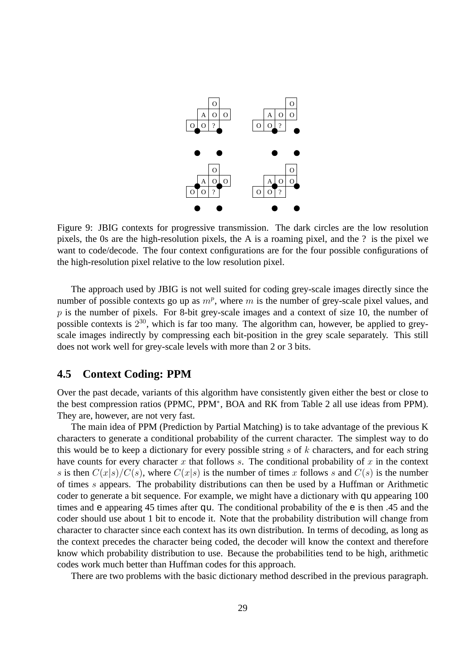

Figure 9: JBIG contexts for progressive transmission. The dark circles are the low resolution pixels, the 0s are the high-resolution pixels, the A is a roaming pixel, and the ? is the pixel we want to code/decode. The four context configurations are for the four possible configurations of the high-resolution pixel relative to the low resolution pixel.

The approach used by JBIG is not well suited for coding grey-scale images directly since the number of possible contexts go up as  $m^p$ , where m is the number of grey-scale pixel values, and  $p$  is the number of pixels. For 8-bit grey-scale images and a context of size 10, the number of possible contexts is  $2^{30}$ , which is far too many. The algorithm can, however, be applied to greyscale images indirectly by compressing each bit-position in the grey scale separately. This still does not work well for grey-scale levels with more than 2 or 3 bits.

#### **4.5 Context Coding: PPM**

Over the past decade, variants of this algorithm have consistently given either the best or close to the best compression ratios (PPMC, PPM<sup>∗</sup> , BOA and RK from Table 2 all use ideas from PPM). They are, however, are not very fast.

The main idea of PPM (Prediction by Partial Matching) is to take advantage of the previous K characters to generate a conditional probability of the current character. The simplest way to do this would be to keep a dictionary for every possible string  $s$  of  $k$  characters, and for each string have counts for every character x that follows s. The conditional probability of x in the context s is then  $C(x|s)/C(s)$ , where  $C(x|s)$  is the number of times x follows s and  $C(s)$  is the number of times s appears. The probability distributions can then be used by a Huffman or Arithmetic coder to generate a bit sequence. For example, we might have a dictionary with qu appearing 100 times and e appearing 45 times after qu. The conditional probability of the e is then .45 and the coder should use about 1 bit to encode it. Note that the probability distribution will change from character to character since each context has its own distribution. In terms of decoding, as long as the context precedes the character being coded, the decoder will know the context and therefore know which probability distribution to use. Because the probabilities tend to be high, arithmetic codes work much better than Huffman codes for this approach.

There are two problems with the basic dictionary method described in the previous paragraph.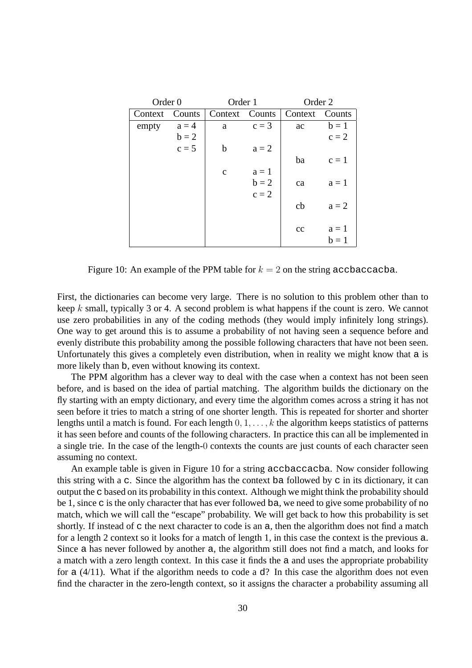| Order <sub>0</sub> |         | Order 1      |         | Order 2 |         |  |
|--------------------|---------|--------------|---------|---------|---------|--|
| Context            | Counts  | Context      | Counts  | Context | Counts  |  |
| empty              | $a = 4$ | a            | $c = 3$ | ac      | $b=1$   |  |
|                    | $b = 2$ |              |         |         | $c = 2$ |  |
|                    | $c = 5$ | b            | $a = 2$ |         |         |  |
|                    |         |              |         | ba      | $c=1$   |  |
|                    |         | $\mathbf{C}$ | $a=1$   |         |         |  |
|                    |         |              | $b = 2$ | ca      | $a = 1$ |  |
|                    |         |              | $c = 2$ |         |         |  |
|                    |         |              |         | cb      | $a = 2$ |  |
|                    |         |              |         |         |         |  |
|                    |         |              |         | cc      | $a=1$   |  |
|                    |         |              |         |         | $b=1$   |  |

Figure 10: An example of the PPM table for  $k = 2$  on the string accbaccacba.

First, the dictionaries can become very large. There is no solution to this problem other than to keep  $k$  small, typically 3 or 4. A second problem is what happens if the count is zero. We cannot use zero probabilities in any of the coding methods (they would imply infinitely long strings). One way to get around this is to assume a probability of not having seen a sequence before and evenly distribute this probability among the possible following characters that have not been seen. Unfortunately this gives a completely even distribution, when in reality we might know that a is more likely than b, even without knowing its context.

The PPM algorithm has a clever way to deal with the case when a context has not been seen before, and is based on the idea of partial matching. The algorithm builds the dictionary on the fly starting with an empty dictionary, and every time the algorithm comes across a string it has not seen before it tries to match a string of one shorter length. This is repeated for shorter and shorter lengths until a match is found. For each length  $0, 1, \ldots, k$  the algorithm keeps statistics of patterns it has seen before and counts of the following characters. In practice this can all be implemented in a single trie. In the case of the length-0 contexts the counts are just counts of each character seen assuming no context.

An example table is given in Figure 10 for a string accbaccacba. Now consider following this string with a c. Since the algorithm has the context ba followed by c in its dictionary, it can output the c based on its probability in this context. Although we might think the probability should be 1, since c is the only character that has ever followed ba, we need to give some probability of no match, which we will call the "escape" probability. We will get back to how this probability is set shortly. If instead of c the next character to code is an a, then the algorithm does not find a match for a length 2 context so it looks for a match of length 1, in this case the context is the previous a. Since a has never followed by another a, the algorithm still does not find a match, and looks for a match with a zero length context. In this case it finds the a and uses the appropriate probability for a  $(4/11)$ . What if the algorithm needs to code a d? In this case the algorithm does not even find the character in the zero-length context, so it assigns the character a probability assuming all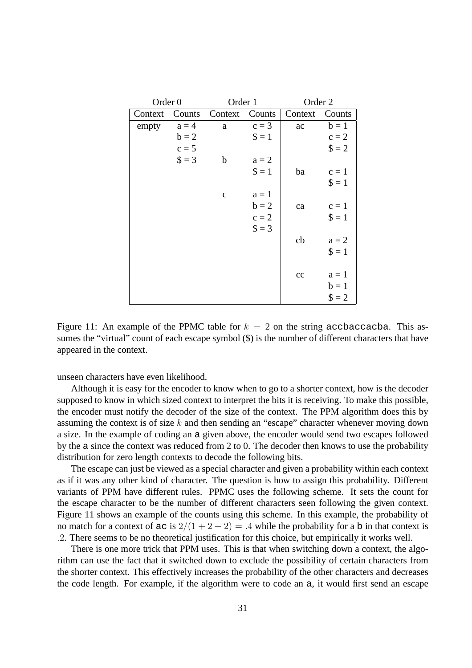| Order <sub>0</sub> |         | Order 1     |                | Order 2 |              |  |
|--------------------|---------|-------------|----------------|---------|--------------|--|
| Context            | Counts  | Context     | Counts         | Context | Counts       |  |
| empty              | $a = 4$ | a           | $c = 3$        | ac      | $b=1$        |  |
|                    | $b = 2$ |             | $\textbf{S}=1$ |         | $c = 2$      |  |
|                    | $c = 5$ |             |                |         | $\$ = 2$     |  |
|                    | $$ = 3$ | b           | $a = 2$        |         |              |  |
|                    |         |             | $\textbf{S}=1$ | ba      | $c = 1$      |  |
|                    |         |             |                |         | $\$\equiv 1$ |  |
|                    |         | $\mathbf c$ | $a=1$          |         |              |  |
|                    |         |             | $b = 2$        | ca      | $c = 1$      |  |
|                    |         |             | $c = 2$        |         | $\$\,=\,1$   |  |
|                    |         |             | $\$ = 3$       |         |              |  |
|                    |         |             |                | cb      | $a = 2$      |  |
|                    |         |             |                |         | $\$\,=\,1$   |  |
|                    |         |             |                |         |              |  |
|                    |         |             |                | cc      | $a = 1$      |  |
|                    |         |             |                |         | $b=1$        |  |
|                    |         |             |                |         | $$ = 2$      |  |

Figure 11: An example of the PPMC table for  $k = 2$  on the string accbaccacba. This assumes the "virtual" count of each escape symbol  $(\$)$  is the number of different characters that have appeared in the context.

unseen characters have even likelihood.

Although it is easy for the encoder to know when to go to a shorter context, how is the decoder supposed to know in which sized context to interpret the bits it is receiving. To make this possible, the encoder must notify the decoder of the size of the context. The PPM algorithm does this by assuming the context is of size  $k$  and then sending an "escape" character whenever moving down a size. In the example of coding an a given above, the encoder would send two escapes followed by the a since the context was reduced from 2 to 0. The decoder then knows to use the probability distribution for zero length contexts to decode the following bits.

The escape can just be viewed as a special character and given a probability within each context as if it was any other kind of character. The question is how to assign this probability. Different variants of PPM have different rules. PPMC uses the following scheme. It sets the count for the escape character to be the number of different characters seen following the given context. Figure 11 shows an example of the counts using this scheme. In this example, the probability of no match for a context of ac is  $2/(1+2+2) = .4$  while the probability for a b in that context is .2. There seems to be no theoretical justification for this choice, but empirically it works well.

There is one more trick that PPM uses. This is that when switching down a context, the algorithm can use the fact that it switched down to exclude the possibility of certain characters from the shorter context. This effectively increases the probability of the other characters and decreases the code length. For example, if the algorithm were to code an a, it would first send an escape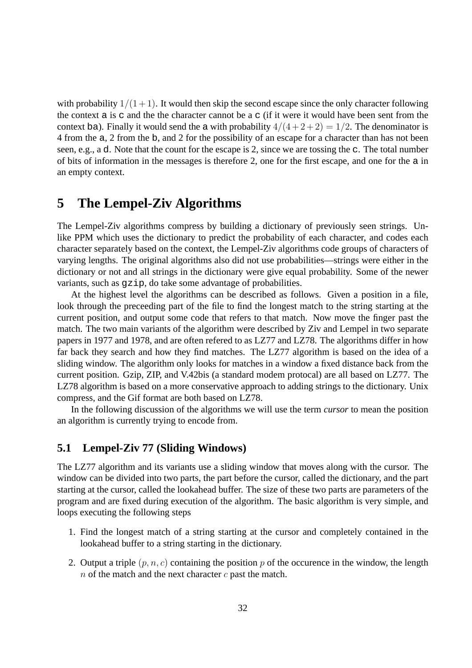with probability  $1/(1+1)$ . It would then skip the second escape since the only character following the context a is c and the the character cannot be a c (if it were it would have been sent from the context ba). Finally it would send the a with probability  $4/(4+2+2) = 1/2$ . The denominator is 4 from the a, 2 from the b, and 2 for the possibility of an escape for a character than has not been seen, e.g., a d. Note that the count for the escape is 2, since we are tossing the c. The total number of bits of information in the messages is therefore 2, one for the first escape, and one for the a in an empty context.

## **5 The Lempel-Ziv Algorithms**

The Lempel-Ziv algorithms compress by building a dictionary of previously seen strings. Unlike PPM which uses the dictionary to predict the probability of each character, and codes each character separately based on the context, the Lempel-Ziv algorithms code groups of characters of varying lengths. The original algorithms also did not use probabilities—strings were either in the dictionary or not and all strings in the dictionary were give equal probability. Some of the newer variants, such as gzip, do take some advantage of probabilities.

At the highest level the algorithms can be described as follows. Given a position in a file, look through the preceeding part of the file to find the longest match to the string starting at the current position, and output some code that refers to that match. Now move the finger past the match. The two main variants of the algorithm were described by Ziv and Lempel in two separate papers in 1977 and 1978, and are often refered to as LZ77 and LZ78. The algorithms differ in how far back they search and how they find matches. The LZ77 algorithm is based on the idea of a sliding window. The algorithm only looks for matches in a window a fixed distance back from the current position. Gzip, ZIP, and V.42bis (a standard modem protocal) are all based on LZ77. The LZ78 algorithm is based on a more conservative approach to adding strings to the dictionary. Unix compress, and the Gif format are both based on LZ78.

In the following discussion of the algorithms we will use the term *cursor* to mean the position an algorithm is currently trying to encode from.

### **5.1 Lempel-Ziv 77 (Sliding Windows)**

The LZ77 algorithm and its variants use a sliding window that moves along with the cursor. The window can be divided into two parts, the part before the cursor, called the dictionary, and the part starting at the cursor, called the lookahead buffer. The size of these two parts are parameters of the program and are fixed during execution of the algorithm. The basic algorithm is very simple, and loops executing the following steps

- 1. Find the longest match of a string starting at the cursor and completely contained in the lookahead buffer to a string starting in the dictionary.
- 2. Output a triple  $(p, n, c)$  containing the position p of the occurence in the window, the length  $n$  of the match and the next character  $c$  past the match.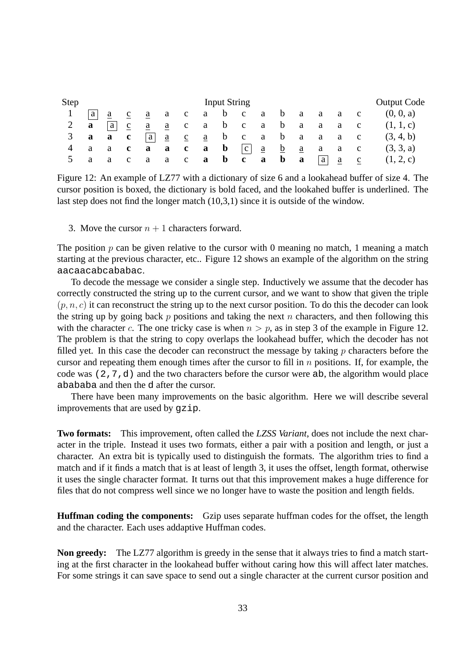| Step  |                     |              |              |     |               |              | <b>Input String</b>   |                                                             |     |              |                                   |              |                                 | <b>Output Code</b> |
|-------|---------------------|--------------|--------------|-----|---------------|--------------|-----------------------|-------------------------------------------------------------|-----|--------------|-----------------------------------|--------------|---------------------------------|--------------------|
|       | a                   | <sub>a</sub> | $\mathbf{c}$ | a a | a             | c a b c      |                       |                                                             | a a | $\mathbf{b}$ | a a a c                           |              |                                 | (0, 0, a)          |
| 2 $a$ |                     | a            | $\mathbf{c}$ | a   | $\frac{a}{2}$ | $\mathbf{C}$ |                       | abcabaa                                                     |     |              |                                   | $\mathbf{a}$ | $\mathbf{C}$                    | (1, 1, c)          |
| 3     | $a \quad a \quad c$ |              |              | a   |               |              |                       | $\underline{a}$ $\underline{c}$ $\underline{a}$ b c a b a a |     |              |                                   | $\mathbf{a}$ | $\mathbf{C}$                    | (3, 4, b)          |
|       | a                   | $a \quad c$  |              | a   | a             | $\mathbf{c}$ | $a \quad b \quad  c $ |                                                             |     |              | $\frac{a}{a}$ $\frac{b}{a}$ a a c |              |                                 | (3, 3, a)          |
|       | a                   | a            | $\mathbf{c}$ | a   |               | a c          |                       | a b c a b a                                                 |     |              | a                                 |              | $\underline{a}$ $\underline{c}$ | (1, 2, c)          |

Figure 12: An example of LZ77 with a dictionary of size 6 and a lookahead buffer of size 4. The cursor position is boxed, the dictionary is bold faced, and the lookahed buffer is underlined. The last step does not find the longer match (10,3,1) since it is outside of the window.

3. Move the cursor  $n + 1$  characters forward.

The position  $p$  can be given relative to the cursor with 0 meaning no match, 1 meaning a match starting at the previous character, etc.. Figure 12 shows an example of the algorithm on the string aacaacabcababac.

To decode the message we consider a single step. Inductively we assume that the decoder has correctly constructed the string up to the current cursor, and we want to show that given the triple  $(p, n, c)$  it can reconstruct the string up to the next cursor position. To do this the decoder can look the string up by going back  $p$  positions and taking the next  $n$  characters, and then following this with the character c. The one tricky case is when  $n > p$ , as in step 3 of the example in Figure 12. The problem is that the string to copy overlaps the lookahead buffer, which the decoder has not filled yet. In this case the decoder can reconstruct the message by taking  $p$  characters before the cursor and repeating them enough times after the cursor to fill in  $n$  positions. If, for example, the code was (2,7,d) and the two characters before the cursor were ab, the algorithm would place abababa and then the d after the cursor.

There have been many improvements on the basic algorithm. Here we will describe several improvements that are used by gzip.

**Two formats:** This improvement, often called the *LZSS Variant*, does not include the next character in the triple. Instead it uses two formats, either a pair with a position and length, or just a character. An extra bit is typically used to distinguish the formats. The algorithm tries to find a match and if it finds a match that is at least of length 3, it uses the offset, length format, otherwise it uses the single character format. It turns out that this improvement makes a huge difference for files that do not compress well since we no longer have to waste the position and length fields.

**Huffman coding the components:** Gzip uses separate huffman codes for the offset, the length and the character. Each uses addaptive Huffman codes.

**Non greedy:** The LZ77 algorithm is greedy in the sense that it always tries to find a match starting at the first character in the lookahead buffer without caring how this will affect later matches. For some strings it can save space to send out a single character at the current cursor position and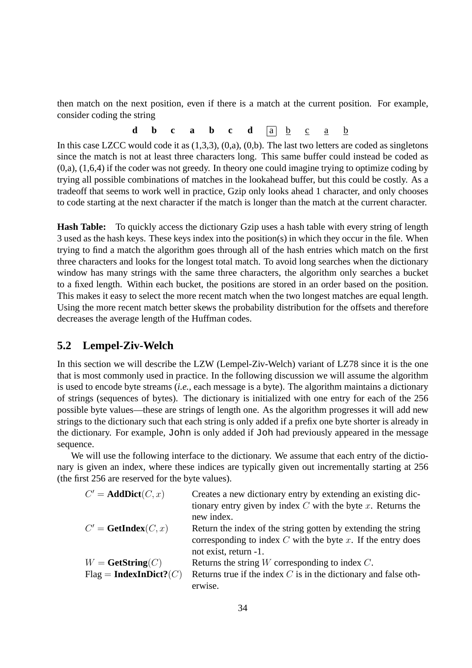then match on the next position, even if there is a match at the current position. For example, consider coding the string

**d b c a b c d**  $\boxed{a}$  **<u>b c a b**</u>

In this case LZCC would code it as (1,3,3), (0,a), (0,b). The last two letters are coded as singletons since the match is not at least three characters long. This same buffer could instead be coded as (0,a), (1,6,4) if the coder was not greedy. In theory one could imagine trying to optimize coding by trying all possible combinations of matches in the lookahead buffer, but this could be costly. As a tradeoff that seems to work well in practice, Gzip only looks ahead 1 character, and only chooses to code starting at the next character if the match is longer than the match at the current character.

**Hash Table:** To quickly access the dictionary Gzip uses a hash table with every string of length 3 used as the hash keys. These keys index into the position(s) in which they occur in the file. When trying to find a match the algorithm goes through all of the hash entries which match on the first three characters and looks for the longest total match. To avoid long searches when the dictionary window has many strings with the same three characters, the algorithm only searches a bucket to a fixed length. Within each bucket, the positions are stored in an order based on the position. This makes it easy to select the more recent match when the two longest matches are equal length. Using the more recent match better skews the probability distribution for the offsets and therefore decreases the average length of the Huffman codes.

### **5.2 Lempel-Ziv-Welch**

In this section we will describe the LZW (Lempel-Ziv-Welch) variant of LZ78 since it is the one that is most commonly used in practice. In the following discussion we will assume the algorithm is used to encode byte streams (*i.e.*, each message is a byte). The algorithm maintains a dictionary of strings (sequences of bytes). The dictionary is initialized with one entry for each of the 256 possible byte values—these are strings of length one. As the algorithm progresses it will add new strings to the dictionary such that each string is only added if a prefix one byte shorter is already in the dictionary. For example, John is only added if Joh had previously appeared in the message sequence.

We will use the following interface to the dictionary. We assume that each entry of the dictionary is given an index, where these indices are typically given out incrementally starting at 256 (the first 256 are reserved for the byte values).

| $C' = AddDict(C, x)$           | Creates a new dictionary entry by extending an existing dic-      |
|--------------------------------|-------------------------------------------------------------------|
|                                | tionary entry given by index $C$ with the byte $x$ . Returns the  |
|                                | new index.                                                        |
| $C' = \textbf{GetIndex}(C, x)$ | Return the index of the string gotten by extending the string     |
|                                | corresponding to index $C$ with the byte $x$ . If the entry does  |
|                                | not exist, return -1.                                             |
| $W = \textbf{GetString}(C)$    | Returns the string $W$ corresponding to index $C$ .               |
| $Flag = IndexInDict?(C)$       | Returns true if the index $C$ is in the dictionary and false oth- |
|                                | erwise.                                                           |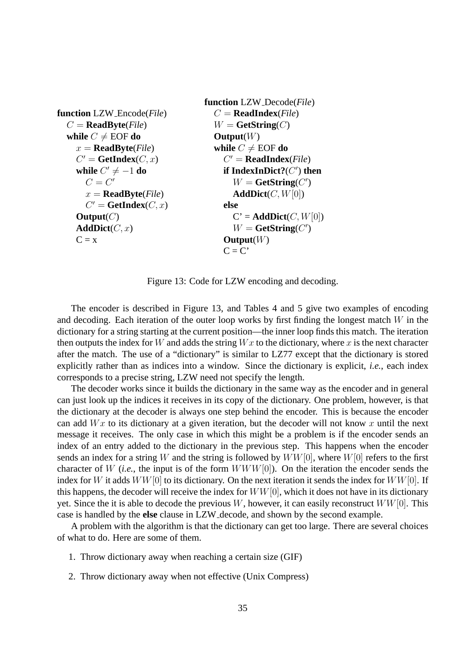```
function LZW Encode(File)
  C = \textbf{ReadByte}(File)while C \neq \text{EOF do}x = \textbf{ReadByte}(File)C' = \text{GetIndex}(C, x)while C' \neq -1 do
        C=C'x = \textbf{ReadByte}(File)C' = \text{GetIndex}(C, x)\text{Output}(C)AddDict(C, x)C = xfunction LZW Decode(File)
                                            C = \textbf{ReadIndex}(File)W = \textbf{GetString}(C)Output(W)
                                            while C \neq \text{EOF do}C
′ = ReadIndex(File)
                                               if IndexInDict?(C
′
) then
                                                  W = \textbf{GetString}(C')AddDict(C, W[0])else
                                                 C' = AddDict(C, W[0])W = \textbf{GetString}(C')Output(W)
                                               C = C'
```
Figure 13: Code for LZW encoding and decoding.

The encoder is described in Figure 13, and Tables 4 and 5 give two examples of encoding and decoding. Each iteration of the outer loop works by first finding the longest match  $W$  in the dictionary for a string starting at the current position—the inner loop finds this match. The iteration then outputs the index for W and adds the string  $Wx$  to the dictionary, where x is the next character after the match. The use of a "dictionary" is similar to LZ77 except that the dictionary is stored explicitly rather than as indices into a window. Since the dictionary is explicit, *i.e.*, each index corresponds to a precise string, LZW need not specify the length.

The decoder works since it builds the dictionary in the same way as the encoder and in general can just look up the indices it receives in its copy of the dictionary. One problem, however, is that the dictionary at the decoder is always one step behind the encoder. This is because the encoder can add  $Wx$  to its dictionary at a given iteration, but the decoder will not know x until the next message it receives. The only case in which this might be a problem is if the encoder sends an index of an entry added to the dictionary in the previous step. This happens when the encoder sends an index for a string W and the string is followed by  $WW[0]$ , where  $W[0]$  refers to the first character of W (*i.e.*, the input is of the form WWW[0]). On the iteration the encoder sends the index for W it adds  $WW[0]$  to its dictionary. On the next iteration it sends the index for  $WW[0]$ . If this happens, the decoder will receive the index for  $WW[0]$ , which it does not have in its dictionary yet. Since the it is able to decode the previous W, however, it can easily reconstruct  $WW[0]$ . This case is handled by the **else** clause in LZW decode, and shown by the second example.

A problem with the algorithm is that the dictionary can get too large. There are several choices of what to do. Here are some of them.

- 1. Throw dictionary away when reaching a certain size (GIF)
- 2. Throw dictionary away when not effective (Unix Compress)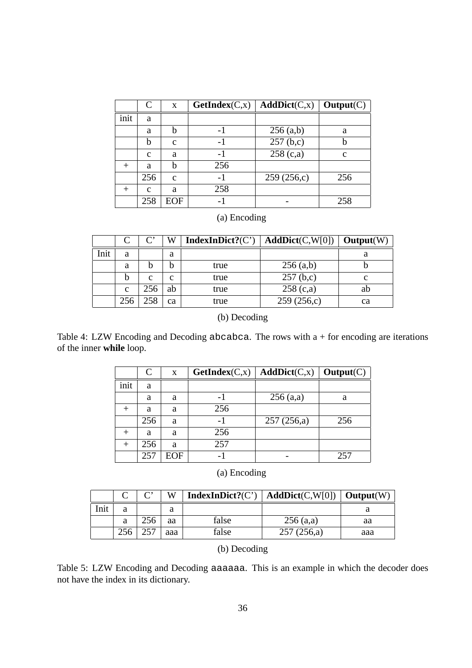|      | C           | X           | GetIndex(C, x) | AddDict(C,x) | Output(C)   |
|------|-------------|-------------|----------------|--------------|-------------|
| init | a           |             |                |              |             |
|      | a           |             |                | $256$ (a,b)  | a           |
|      | b           | $\mathbf c$ |                | 257(b,c)     |             |
|      | $\mathbf c$ | a           |                | 258(c,a)     | $\mathbf c$ |
|      | a           |             | 256            |              |             |
|      | 256         | $\mathbf c$ | -1             | 259(256,c)   | 256         |
|      | $\mathbf c$ | a           | 258            |              |             |
|      | 258         | EOF         |                |              | 258         |

## (a) Encoding

|      |     | $\mathsf{\Gamma}^{\boldsymbol{\cdot}}$ | W  | IndexInDict? $(C')$ | AddDict(C,W[0]) | Output(W) |
|------|-----|----------------------------------------|----|---------------------|-----------------|-----------|
| Init | a   |                                        | a  |                     |                 | a         |
|      | a   |                                        |    | true                | $256$ (a,b)     |           |
|      | b   | c                                      | c  | true                | 257(b,c)        | с         |
|      | C   | 256                                    | ab | true                | 258(c,a)        | ab        |
|      | 256 | 258                                    | ca | true                | 259(256,c)      | ca        |

(b) Decoding

Table 4: LZW Encoding and Decoding abcabca. The rows with a + for encoding are iterations of the inner **while** loop.

|      | $\subset$ | X   | GetIndex(C, x) | AddDict(C,x) | Output(C) |
|------|-----------|-----|----------------|--------------|-----------|
| init | a         |     |                |              |           |
|      | a         | a   |                | 256(a,a)     | a         |
|      | a         | a   | 256            |              |           |
|      | 256       | a   |                | 257(256,a)   | 256       |
|      | a         | a   | 256            |              |           |
|      | 256       | a   | 257            |              |           |
|      | 257       | EOF |                |              | 257       |

### (a) Encoding

|      |   | ⌒'  | W   | IndexInDict? $(C')$ | AddDict(C,W[0]) | $\mid$ Output(W) |
|------|---|-----|-----|---------------------|-----------------|------------------|
| Init | a |     | a   |                     |                 |                  |
|      | a |     | aa  | false               | $256$ (a,a)     | aa               |
|      |   | つよつ | aaa | false               | 257(256,a)      | aaa              |

(b) Decoding

Table 5: LZW Encoding and Decoding aaaaaa. This is an example in which the decoder does not have the index in its dictionary.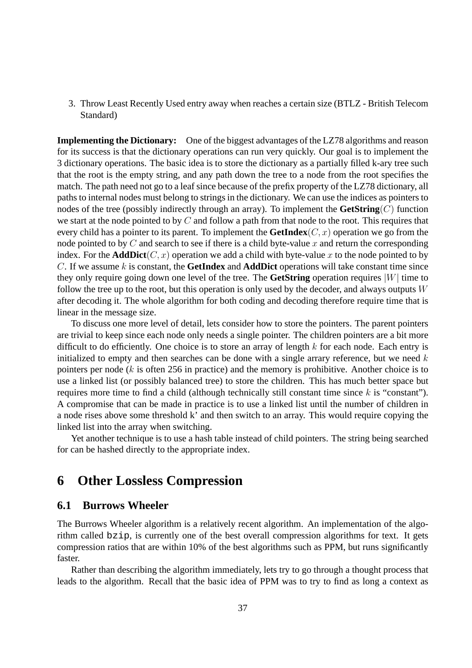3. Throw Least Recently Used entry away when reaches a certain size (BTLZ - British Telecom Standard)

**Implementing the Dictionary:** One of the biggest advantages of the LZ78 algorithms and reason for its success is that the dictionary operations can run very quickly. Our goal is to implement the 3 dictionary operations. The basic idea is to store the dictionary as a partially filled k-ary tree such that the root is the empty string, and any path down the tree to a node from the root specifies the match. The path need not go to a leaf since because of the prefix property of the LZ78 dictionary, all paths to internal nodes must belong to strings in the dictionary. We can use the indices as pointers to nodes of the tree (possibly indirectly through an array). To implement the **GetString** $(C)$  function we start at the node pointed to by C and follow a path from that node to the root. This requires that every child has a pointer to its parent. To implement the **GetIndex** $(C, x)$  operation we go from the node pointed to by  $C$  and search to see if there is a child byte-value  $x$  and return the corresponding index. For the **AddDict** $(C, x)$  operation we add a child with byte-value x to the node pointed to by C. If we assume k is constant, the **GetIndex** and **AddDict** operations will take constant time since they only require going down one level of the tree. The **GetString** operation requires  $|W|$  time to follow the tree up to the root, but this operation is only used by the decoder, and always outputs  $W$ after decoding it. The whole algorithm for both coding and decoding therefore require time that is linear in the message size.

To discuss one more level of detail, lets consider how to store the pointers. The parent pointers are trivial to keep since each node only needs a single pointer. The children pointers are a bit more difficult to do efficiently. One choice is to store an array of length  $k$  for each node. Each entry is initialized to empty and then searches can be done with a single arrary reference, but we need  $k$ pointers per node (k is often 256 in practice) and the memory is prohibitive. Another choice is to use a linked list (or possibly balanced tree) to store the children. This has much better space but requires more time to find a child (although technically still constant time since  $k$  is "constant"). A compromise that can be made in practice is to use a linked list until the number of children in a node rises above some threshold k' and then switch to an array. This would require copying the linked list into the array when switching.

Yet another technique is to use a hash table instead of child pointers. The string being searched for can be hashed directly to the appropriate index.

## **6 Other Lossless Compression**

#### **6.1 Burrows Wheeler**

The Burrows Wheeler algorithm is a relatively recent algorithm. An implementation of the algorithm called bzip, is currently one of the best overall compression algorithms for text. It gets compression ratios that are within 10% of the best algorithms such as PPM, but runs significantly faster.

Rather than describing the algorithm immediately, lets try to go through a thought process that leads to the algorithm. Recall that the basic idea of PPM was to try to find as long a context as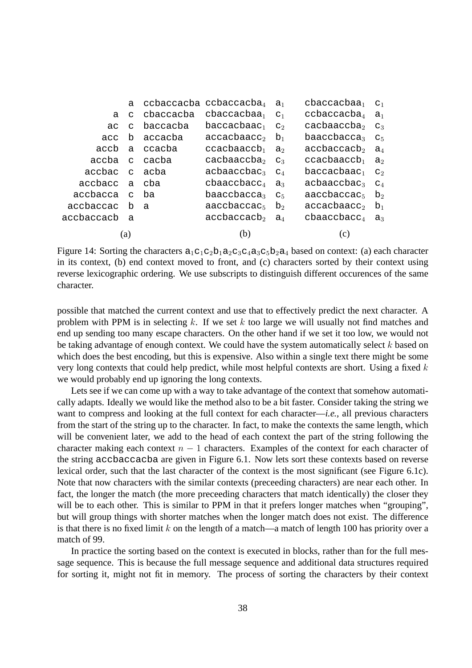|               | a            |               | ccbaccacba ccbaccacba $_4$ a                                       |                | cbaccacbaa <sub>1</sub>                 | C <sub>1</sub> |
|---------------|--------------|---------------|--------------------------------------------------------------------|----------------|-----------------------------------------|----------------|
| a             | $\mathbf{C}$ | cbaccacba     | cbaccacbaa <sub>1</sub>                                            | C <sub>1</sub> | $ccbaccacba_4$                          | $a_1$          |
| aс            | C            | baccacba      | baccacbaac <sub>1</sub>                                            | C <sub>2</sub> | $\mathtt{cache}$                        | $C_3$          |
| acc           |              | b accacba     | $accacbaacc2$ b                                                    |                | baaccbacca <sub>3</sub>                 | $C_{5}$        |
|               |              | accb a ccacba | ccacbaaccb <sub>1</sub> a <sub>2</sub>                             |                | accbaccache <sub>2</sub> a <sub>4</sub> |                |
| accba c       |              | cacba         | cacbaaccba <sub>2</sub> $c_3$                                      |                | ccacbaaccb <sub>1</sub>                 | $\mathsf{a}_2$ |
| accbac c acba |              |               | $acbaaccbac3$ $c4$                                                 |                | $baccacbaac_1$                          | $\mathsf{C}_2$ |
| accbacc a     |              | - cha         | $\mathtt{ch}$ aa $\mathtt{c}$ c $\mathtt{b}$ a $\mathtt{c}$ c $_4$ | a              | acbaaccbac <sub>3</sub>                 | $C_4$          |
| accbacca c    |              | - ba          | baaccbacca <sub>3</sub>                                            | C <sub>5</sub> | $\mathtt{aaccbaccacc}_{5}$              | $b_2$          |
| accbaccac b a |              |               | aaccbaccac <sub>5</sub>                                            | $b_2$          | accacbaacc <sub>2</sub>                 | $b_1$          |
| accbaccacb a  |              |               | accbaccacb <sub>2</sub>                                            | $\mathsf{a}_4$ | $cbaaccbacc4$ a <sub>3</sub>            |                |
|               | (a)          |               | (b)                                                                |                | (C)                                     |                |

Figure 14: Sorting the characters  $a_1c_1c_2b_1a_2c_3c_4a_3c_5b_2a_4$  based on context: (a) each character in its context, (b) end context moved to front, and (c) characters sorted by their context using reverse lexicographic ordering. We use subscripts to distinguish different occurences of the same character.

possible that matched the current context and use that to effectively predict the next character. A problem with PPM is in selecting k. If we set k too large we will usually not find matches and end up sending too many escape characters. On the other hand if we set it too low, we would not be taking advantage of enough context. We could have the system automatically select  $k$  based on which does the best encoding, but this is expensive. Also within a single text there might be some very long contexts that could help predict, while most helpful contexts are short. Using a fixed k we would probably end up ignoring the long contexts.

Lets see if we can come up with a way to take advantage of the context that somehow automatically adapts. Ideally we would like the method also to be a bit faster. Consider taking the string we want to compress and looking at the full context for each character—*i.e.*, all previous characters from the start of the string up to the character. In fact, to make the contexts the same length, which will be convenient later, we add to the head of each context the part of the string following the character making each context  $n - 1$  characters. Examples of the context for each character of the string accbaccacba are given in Figure 6.1. Now lets sort these contexts based on reverse lexical order, such that the last character of the context is the most significant (see Figure 6.1c). Note that now characters with the similar contexts (preceeding characters) are near each other. In fact, the longer the match (the more preceeding characters that match identically) the closer they will be to each other. This is similar to PPM in that it prefers longer matches when "grouping", but will group things with shorter matches when the longer match does not exist. The difference is that there is no fixed limit k on the length of a match—a match of length 100 has priority over a match of 99.

In practice the sorting based on the context is executed in blocks, rather than for the full message sequence. This is because the full message sequence and additional data structures required for sorting it, might not fit in memory. The process of sorting the characters by their context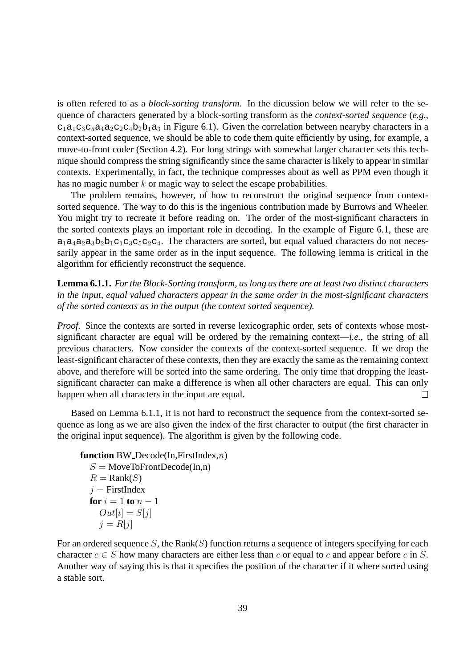is often refered to as a *block-sorting transform*. In the dicussion below we will refer to the sequence of characters generated by a block-sorting transform as the *context-sorted sequence* (*e.g.*,  $c_1a_1c_3c_5a_4a_2c_2c_4b_2b_1a_3$  in Figure 6.1). Given the correlation between nearyby characters in a context-sorted sequence, we should be able to code them quite efficiently by using, for example, a move-to-front coder (Section 4.2). For long strings with somewhat larger character sets this technique should compress the string significantly since the same character is likely to appear in similar contexts. Experimentally, in fact, the technique compresses about as well as PPM even though it has no magic number  $k$  or magic way to select the escape probabilities.

The problem remains, however, of how to reconstruct the original sequence from contextsorted sequence. The way to do this is the ingenious contribution made by Burrows and Wheeler. You might try to recreate it before reading on. The order of the most-significant characters in the sorted contexts plays an important role in decoding. In the example of Figure 6.1, these are  $a_1a_4a_2a_3b_2b_1c_1c_3c_5c_2c_4$ . The characters are sorted, but equal valued characters do not necessarily appear in the same order as in the input sequence. The following lemma is critical in the algorithm for efficiently reconstruct the sequence.

**Lemma 6.1.1.** *For the Block-Sorting transform, as long as there are at least two distinct characters in the input, equal valued characters appear in the same order in the most-significant characters of the sorted contexts as in the output (the context sorted sequence).*

*Proof.* Since the contexts are sorted in reverse lexicographic order, sets of contexts whose mostsignificant character are equal will be ordered by the remaining context—*i.e.*, the string of all previous characters. Now consider the contexts of the context-sorted sequence. If we drop the least-significant character of these contexts, then they are exactly the same as the remaining context above, and therefore will be sorted into the same ordering. The only time that dropping the leastsignificant character can make a difference is when all other characters are equal. This can only happen when all characters in the input are equal.  $\Box$ 

Based on Lemma 6.1.1, it is not hard to reconstruct the sequence from the context-sorted sequence as long as we are also given the index of the first character to output (the first character in the original input sequence). The algorithm is given by the following code.

```
function BW Decode(In,FirstIndex,n)
  S = \text{MoveToFrontDecode}(In, n)R =Rank(S)j =FirstIndex
  for i = 1 to n - 1Out[i] = S[j]i = R[i]
```
For an ordered sequence S, the Rank(S) function returns a sequence of integers specifying for each character  $c \in S$  how many characters are either less than c or equal to c and appear before c in S. Another way of saying this is that it specifies the position of the character if it where sorted using a stable sort.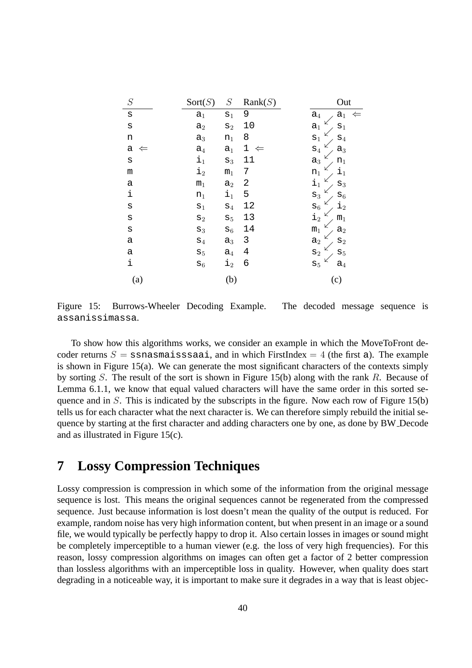| $\cal S$            | Sort(S)        | ${\cal S}$       | Rank(S)                     | Out                                |
|---------------------|----------------|------------------|-----------------------------|------------------------------------|
| $\rm s$             | a <sub>1</sub> | $\mathbf{s}_1$   | 9                           | $a_4$<br>$\mathtt{a}_1$<br>⇐       |
| $\mathbf s$         | a <sub>2</sub> | $\mathtt{s}_2$   | 10                          | a <sub>1</sub><br>$\mathbf{s}_1$   |
| n                   | $\mathtt{a}_3$ | $n_1$            | 8                           | $\mathbf{s}_1$<br>$\mathtt{s}_4$   |
| а<br>⇐              | $a_4$          | $a_1$            | $\mathbf 1$<br>$\Leftarrow$ | $\mathtt{s}_4$<br>$\mathtt{a}_3$   |
| $\rm s$             | $\mathbf{i}_1$ | $\mathtt{s}_3$   | 11                          | $a_3$<br>$\mathtt{n}_1$            |
| m                   | $\dot{1}_2$    | m <sub>1</sub>   | 7                           | $\mathtt{i}_1$<br>$\mathtt{n}_1$   |
| а                   | m <sub>1</sub> | $a_2$            | 2                           | $\dot{1}_1$<br>$\mathtt{S}_3$      |
| $\ddot{\textbf{i}}$ | $n_1$          | $\mathtt{i}_1$   | 5                           | $\mathtt{s}_{6}$<br>$\mathtt{s}_3$ |
| $\rm s$             | $\mathbf{s}_1$ | $\mathtt{s}_4$   | 12                          | $\dot{1}_2$<br>$\mathtt{s}_{6}$    |
| $\rm s$             | $\mathtt{s}_2$ | $\mathtt{s}_5$   | 13                          | $\dot{1}_2$<br>$m_1$               |
| S                   | $\mathtt{s}_3$ | $\mathtt{s}_{6}$ | 14                          | m <sub>1</sub><br>$a_2$            |
| а                   | $\mathtt{s}_4$ | $a_3$            | 3                           | $\mathtt{s}_2$<br>a <sub>2</sub>   |
| a                   | $\mathtt{s}_5$ | $a_4$            | 4                           | $\mathtt{s}_2$<br>$\mathbf{S}_5$   |
| i                   | $s_6$          | $\mathbf{i}_2$   | 6                           | $\mathtt{s}_5$<br>$a_4$            |
| (a)                 |                | (b)              |                             | (c)                                |

Figure 15: Burrows-Wheeler Decoding Example. The decoded message sequence is assanissimassa.

To show how this algorithms works, we consider an example in which the MoveToFront decoder returns  $S =$  ssnasmaisssaai, and in which FirstIndex = 4 (the first a). The example is shown in Figure 15(a). We can generate the most significant characters of the contexts simply by sorting S. The result of the sort is shown in Figure 15(b) along with the rank R. Because of Lemma 6.1.1, we know that equal valued characters will have the same order in this sorted sequence and in  $S$ . This is indicated by the subscripts in the figure. Now each row of Figure 15(b) tells us for each character what the next character is. We can therefore simply rebuild the initial sequence by starting at the first character and adding characters one by one, as done by BW Decode and as illustrated in Figure 15(c).

## **7 Lossy Compression Techniques**

Lossy compression is compression in which some of the information from the original message sequence is lost. This means the original sequences cannot be regenerated from the compressed sequence. Just because information is lost doesn't mean the quality of the output is reduced. For example, random noise has very high information content, but when present in an image or a sound file, we would typically be perfectly happy to drop it. Also certain losses in images or sound might be completely imperceptible to a human viewer (e.g. the loss of very high frequencies). For this reason, lossy compression algorithms on images can often get a factor of 2 better compression than lossless algorithms with an imperceptible loss in quality. However, when quality does start degrading in a noticeable way, it is important to make sure it degrades in a way that is least objec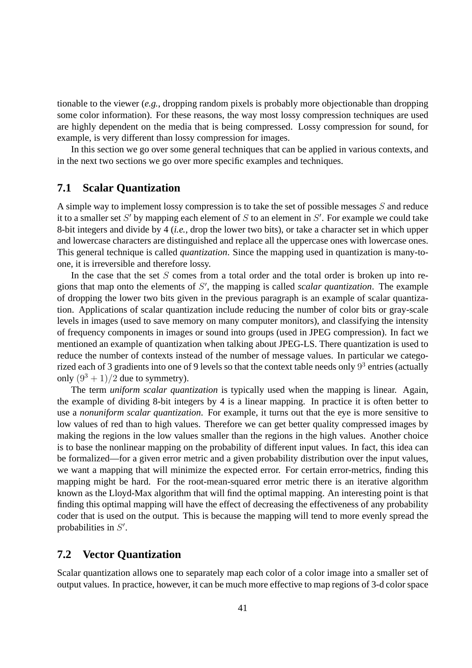tionable to the viewer (*e.g.*, dropping random pixels is probably more objectionable than dropping some color information). For these reasons, the way most lossy compression techniques are used are highly dependent on the media that is being compressed. Lossy compression for sound, for example, is very different than lossy compression for images.

In this section we go over some general techniques that can be applied in various contexts, and in the next two sections we go over more specific examples and techniques.

### **7.1 Scalar Quantization**

A simple way to implement lossy compression is to take the set of possible messages S and reduce it to a smaller set S' by mapping each element of S to an element in S'. For example we could take 8-bit integers and divide by 4 (*i.e.*, drop the lower two bits), or take a character set in which upper and lowercase characters are distinguished and replace all the uppercase ones with lowercase ones. This general technique is called *quantization*. Since the mapping used in quantization is many-toone, it is irreversible and therefore lossy.

In the case that the set  $S$  comes from a total order and the total order is broken up into regions that map onto the elements of S ′ , the mapping is called *scalar quantization*. The example of dropping the lower two bits given in the previous paragraph is an example of scalar quantization. Applications of scalar quantization include reducing the number of color bits or gray-scale levels in images (used to save memory on many computer monitors), and classifying the intensity of frequency components in images or sound into groups (used in JPEG compression). In fact we mentioned an example of quantization when talking about JPEG-LS. There quantization is used to reduce the number of contexts instead of the number of message values. In particular we categorized each of 3 gradients into one of 9 levels so that the context table needs only  $9^3$  entries (actually only  $(9^3 + 1)/2$  due to symmetry).

The term *uniform scalar quantization* is typically used when the mapping is linear. Again, the example of dividing 8-bit integers by 4 is a linear mapping. In practice it is often better to use a *nonuniform scalar quantization*. For example, it turns out that the eye is more sensitive to low values of red than to high values. Therefore we can get better quality compressed images by making the regions in the low values smaller than the regions in the high values. Another choice is to base the nonlinear mapping on the probability of different input values. In fact, this idea can be formalized—for a given error metric and a given probability distribution over the input values, we want a mapping that will minimize the expected error. For certain error-metrics, finding this mapping might be hard. For the root-mean-squared error metric there is an iterative algorithm known as the Lloyd-Max algorithm that will find the optimal mapping. An interesting point is that finding this optimal mapping will have the effect of decreasing the effectiveness of any probability coder that is used on the output. This is because the mapping will tend to more evenly spread the probabilities in  $S'$ .

#### **7.2 Vector Quantization**

Scalar quantization allows one to separately map each color of a color image into a smaller set of output values. In practice, however, it can be much more effective to map regions of 3-d color space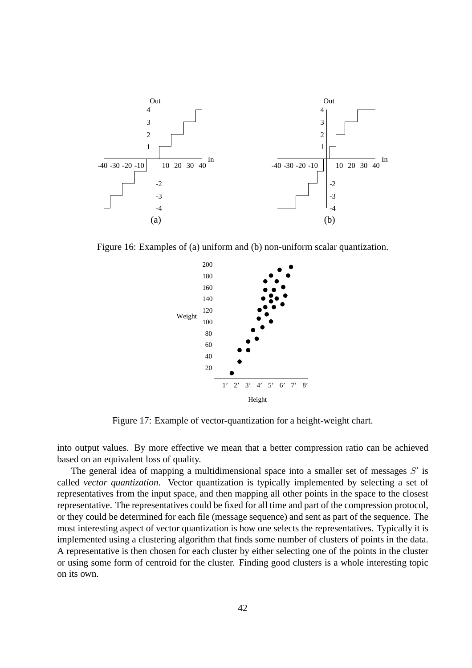

Figure 16: Examples of (a) uniform and (b) non-uniform scalar quantization.



Figure 17: Example of vector-quantization for a height-weight chart.

into output values. By more effective we mean that a better compression ratio can be achieved based on an equivalent loss of quality.

The general idea of mapping a multidimensional space into a smaller set of messages  $S'$  is called *vector quantization*. Vector quantization is typically implemented by selecting a set of representatives from the input space, and then mapping all other points in the space to the closest representative. The representatives could be fixed for all time and part of the compression protocol, or they could be determined for each file (message sequence) and sent as part of the sequence. The most interesting aspect of vector quantization is how one selects the representatives. Typically it is implemented using a clustering algorithm that finds some number of clusters of points in the data. A representative is then chosen for each cluster by either selecting one of the points in the cluster or using some form of centroid for the cluster. Finding good clusters is a whole interesting topic on its own.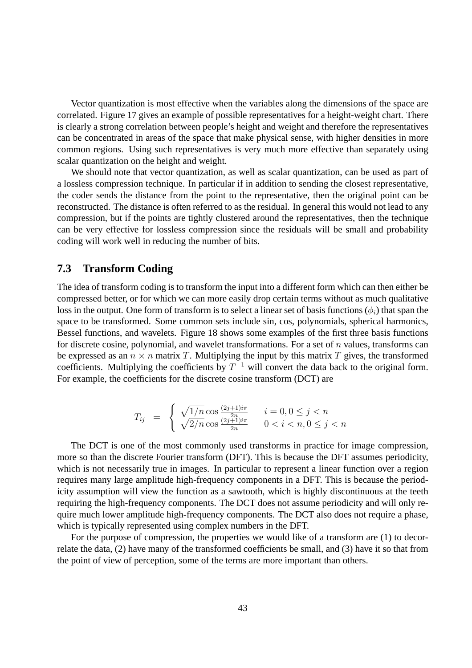Vector quantization is most effective when the variables along the dimensions of the space are correlated. Figure 17 gives an example of possible representatives for a height-weight chart. There is clearly a strong correlation between people's height and weight and therefore the representatives can be concentrated in areas of the space that make physical sense, with higher densities in more common regions. Using such representatives is very much more effective than separately using scalar quantization on the height and weight.

We should note that vector quantization, as well as scalar quantization, can be used as part of a lossless compression technique. In particular if in addition to sending the closest representative, the coder sends the distance from the point to the representative, then the original point can be reconstructed. The distance is often referred to as the residual. In general this would not lead to any compression, but if the points are tightly clustered around the representatives, then the technique can be very effective for lossless compression since the residuals will be small and probability coding will work well in reducing the number of bits.

#### **7.3 Transform Coding**

The idea of transform coding is to transform the input into a different form which can then either be compressed better, or for which we can more easily drop certain terms without as much qualitative loss in the output. One form of transform is to select a linear set of basis functions  $(\phi_i)$  that span the space to be transformed. Some common sets include sin, cos, polynomials, spherical harmonics, Bessel functions, and wavelets. Figure 18 shows some examples of the first three basis functions for discrete cosine, polynomial, and wavelet transformations. For a set of  $n$  values, transforms can be expressed as an  $n \times n$  matrix T. Multiplying the input by this matrix T gives, the transformed coefficients. Multiplying the coefficients by  $T^{-1}$  will convert the data back to the original form. For example, the coefficients for the discrete cosine transform (DCT) are

$$
T_{ij} = \begin{cases} \sqrt{1/n} \cos \frac{(2j+1)i\pi}{2n} & i = 0, 0 \le j < n \\ \sqrt{2/n} \cos \frac{(2j+1)i\pi}{2n} & 0 < i < n, 0 \le j < n \end{cases}
$$

The DCT is one of the most commonly used transforms in practice for image compression, more so than the discrete Fourier transform (DFT). This is because the DFT assumes periodicity, which is not necessarily true in images. In particular to represent a linear function over a region requires many large amplitude high-frequency components in a DFT. This is because the periodicity assumption will view the function as a sawtooth, which is highly discontinuous at the teeth requiring the high-frequency components. The DCT does not assume periodicity and will only require much lower amplitude high-frequency components. The DCT also does not require a phase, which is typically represented using complex numbers in the DFT.

For the purpose of compression, the properties we would like of a transform are (1) to decorrelate the data, (2) have many of the transformed coefficients be small, and (3) have it so that from the point of view of perception, some of the terms are more important than others.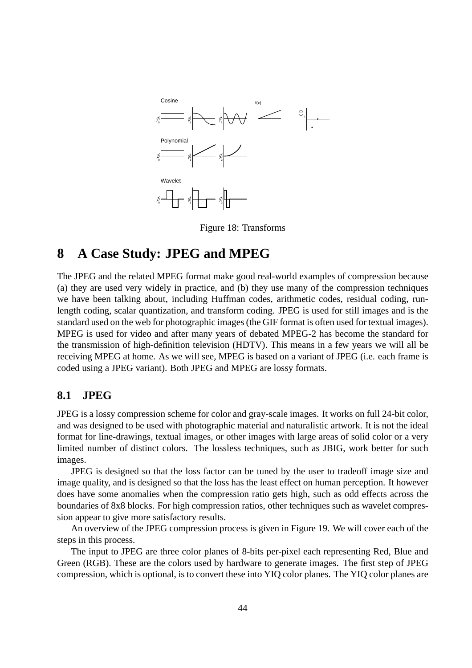

Figure 18: Transforms

## **8 A Case Study: JPEG and MPEG**

The JPEG and the related MPEG format make good real-world examples of compression because (a) they are used very widely in practice, and (b) they use many of the compression techniques we have been talking about, including Huffman codes, arithmetic codes, residual coding, runlength coding, scalar quantization, and transform coding. JPEG is used for still images and is the standard used on the web for photographic images (the GIF format is often used for textual images). MPEG is used for video and after many years of debated MPEG-2 has become the standard for the transmission of high-definition television (HDTV). This means in a few years we will all be receiving MPEG at home. As we will see, MPEG is based on a variant of JPEG (i.e. each frame is coded using a JPEG variant). Both JPEG and MPEG are lossy formats.

## **8.1 JPEG**

JPEG is a lossy compression scheme for color and gray-scale images. It works on full 24-bit color, and was designed to be used with photographic material and naturalistic artwork. It is not the ideal format for line-drawings, textual images, or other images with large areas of solid color or a very limited number of distinct colors. The lossless techniques, such as JBIG, work better for such images.

JPEG is designed so that the loss factor can be tuned by the user to tradeoff image size and image quality, and is designed so that the loss has the least effect on human perception. It however does have some anomalies when the compression ratio gets high, such as odd effects across the boundaries of 8x8 blocks. For high compression ratios, other techniques such as wavelet compression appear to give more satisfactory results.

An overview of the JPEG compression process is given in Figure 19. We will cover each of the steps in this process.

The input to JPEG are three color planes of 8-bits per-pixel each representing Red, Blue and Green (RGB). These are the colors used by hardware to generate images. The first step of JPEG compression, which is optional, is to convert these into YIQ color planes. The YIQ color planes are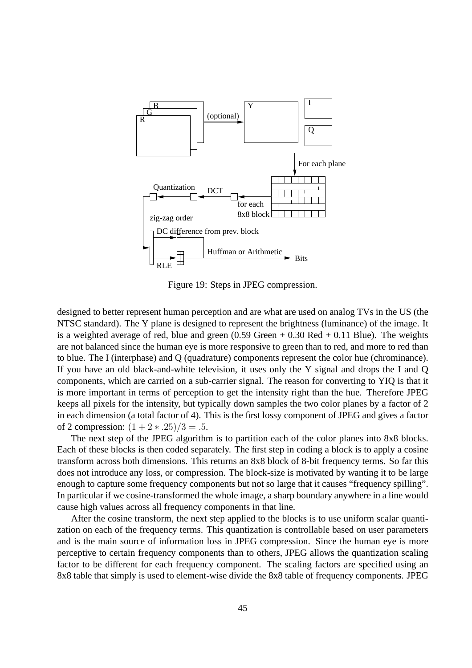

Figure 19: Steps in JPEG compression.

designed to better represent human perception and are what are used on analog TVs in the US (the NTSC standard). The Y plane is designed to represent the brightness (luminance) of the image. It is a weighted average of red, blue and green  $(0.59$  Green  $+ 0.30$  Red  $+ 0.11$  Blue). The weights are not balanced since the human eye is more responsive to green than to red, and more to red than to blue. The I (interphase) and Q (quadrature) components represent the color hue (chrominance). If you have an old black-and-white television, it uses only the Y signal and drops the I and Q components, which are carried on a sub-carrier signal. The reason for converting to YIQ is that it is more important in terms of perception to get the intensity right than the hue. Therefore JPEG keeps all pixels for the intensity, but typically down samples the two color planes by a factor of 2 in each dimension (a total factor of 4). This is the first lossy component of JPEG and gives a factor of 2 compression:  $(1 + 2 * .25)/3 = .5$ .

The next step of the JPEG algorithm is to partition each of the color planes into 8x8 blocks. Each of these blocks is then coded separately. The first step in coding a block is to apply a cosine transform across both dimensions. This returns an 8x8 block of 8-bit frequency terms. So far this does not introduce any loss, or compression. The block-size is motivated by wanting it to be large enough to capture some frequency components but not so large that it causes "frequency spilling". In particular if we cosine-transformed the whole image, a sharp boundary anywhere in a line would cause high values across all frequency components in that line.

After the cosine transform, the next step applied to the blocks is to use uniform scalar quantization on each of the frequency terms. This quantization is controllable based on user parameters and is the main source of information loss in JPEG compression. Since the human eye is more perceptive to certain frequency components than to others, JPEG allows the quantization scaling factor to be different for each frequency component. The scaling factors are specified using an 8x8 table that simply is used to element-wise divide the 8x8 table of frequency components. JPEG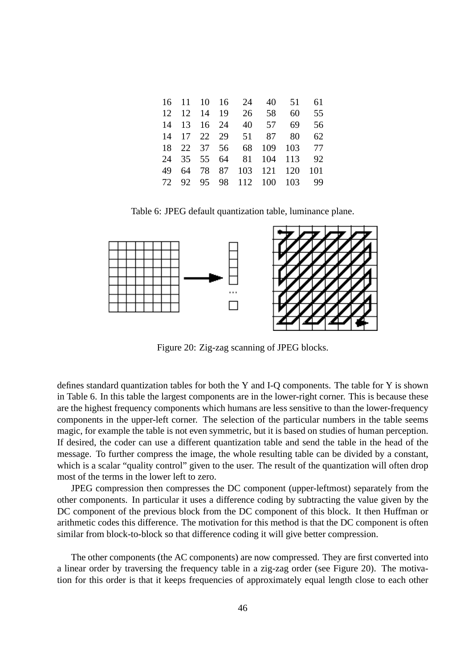|  |  | 16 11 10 16 24 40 51      |      | 61  |
|--|--|---------------------------|------|-----|
|  |  | 12 12 14 19 26 58         | - 60 | 55  |
|  |  | 14 13 16 24 40 57 69      |      | 56  |
|  |  | 14 17 22 29 51 87 80      |      | 62  |
|  |  | 18 22 37 56 68 109 103 77 |      |     |
|  |  | 24 35 55 64 81 104 113    |      | 92  |
|  |  | 49 64 78 87 103 121 120   |      | 101 |
|  |  | 72 92 95 98 112 100 103   |      | 99  |
|  |  |                           |      |     |

Table 6: JPEG default quantization table, luminance plane.



Figure 20: Zig-zag scanning of JPEG blocks.

defines standard quantization tables for both the Y and I-Q components. The table for Y is shown in Table 6. In this table the largest components are in the lower-right corner. This is because these are the highest frequency components which humans are less sensitive to than the lower-frequency components in the upper-left corner. The selection of the particular numbers in the table seems magic, for example the table is not even symmetric, but it is based on studies of human perception. If desired, the coder can use a different quantization table and send the table in the head of the message. To further compress the image, the whole resulting table can be divided by a constant, which is a scalar "quality control" given to the user. The result of the quantization will often drop most of the terms in the lower left to zero.

JPEG compression then compresses the DC component (upper-leftmost) separately from the other components. In particular it uses a difference coding by subtracting the value given by the DC component of the previous block from the DC component of this block. It then Huffman or arithmetic codes this difference. The motivation for this method is that the DC component is often similar from block-to-block so that difference coding it will give better compression.

The other components (the AC components) are now compressed. They are first converted into a linear order by traversing the frequency table in a zig-zag order (see Figure 20). The motivation for this order is that it keeps frequencies of approximately equal length close to each other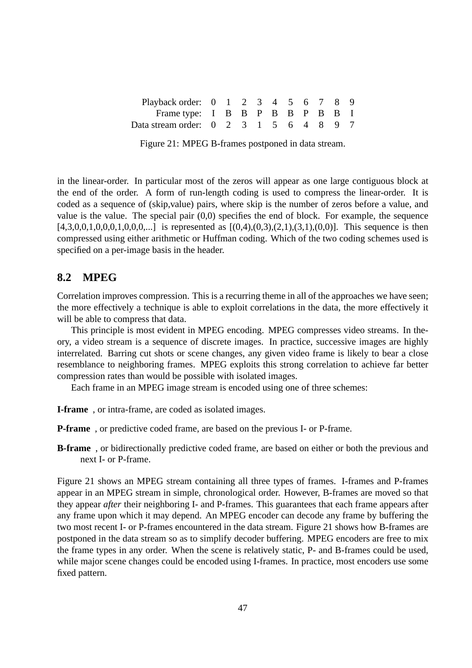| Playback order: 0 1 2 3 4 5 6 7 8 9    |  |  |  |  |  |
|----------------------------------------|--|--|--|--|--|
| Frame type: I B B P B B P B B I        |  |  |  |  |  |
| Data stream order: 0 2 3 1 5 6 4 8 9 7 |  |  |  |  |  |

in the linear-order. In particular most of the zeros will appear as one large contiguous block at the end of the order. A form of run-length coding is used to compress the linear-order. It is coded as a sequence of (skip,value) pairs, where skip is the number of zeros before a value, and value is the value. The special pair (0,0) specifies the end of block. For example, the sequence  $[4,3,0,0,1,0,0,0,1,0,0,0,...]$  is represented as  $[(0,4),(0,3),(2,1),(3,1),(0,0)]$ . This sequence is then compressed using either arithmetic or Huffman coding. Which of the two coding schemes used is specified on a per-image basis in the header.

### **8.2 MPEG**

Correlation improves compression. This is a recurring theme in all of the approaches we have seen; the more effectively a technique is able to exploit correlations in the data, the more effectively it will be able to compress that data.

This principle is most evident in MPEG encoding. MPEG compresses video streams. In theory, a video stream is a sequence of discrete images. In practice, successive images are highly interrelated. Barring cut shots or scene changes, any given video frame is likely to bear a close resemblance to neighboring frames. MPEG exploits this strong correlation to achieve far better compression rates than would be possible with isolated images.

Each frame in an MPEG image stream is encoded using one of three schemes:

**I-frame** , or intra-frame, are coded as isolated images.

**P-frame** , or predictive coded frame, are based on the previous I- or P-frame.

**B-frame** , or bidirectionally predictive coded frame, are based on either or both the previous and next I- or P-frame.

Figure 21 shows an MPEG stream containing all three types of frames. I-frames and P-frames appear in an MPEG stream in simple, chronological order. However, B-frames are moved so that they appear *after* their neighboring I- and P-frames. This guarantees that each frame appears after any frame upon which it may depend. An MPEG encoder can decode any frame by buffering the two most recent I- or P-frames encountered in the data stream. Figure 21 shows how B-frames are postponed in the data stream so as to simplify decoder buffering. MPEG encoders are free to mix the frame types in any order. When the scene is relatively static, P- and B-frames could be used, while major scene changes could be encoded using I-frames. In practice, most encoders use some fixed pattern.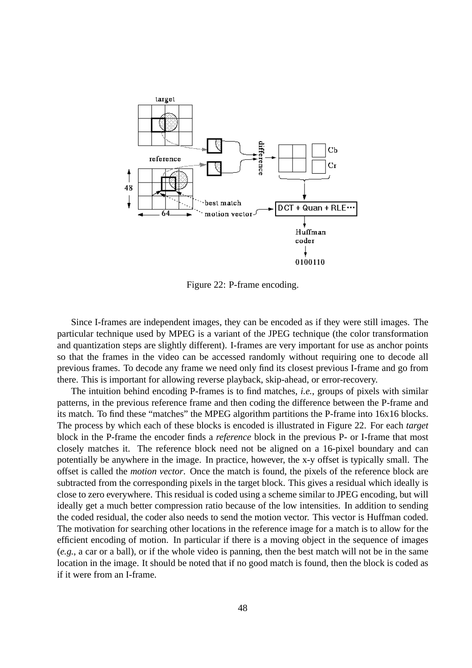

Figure 22: P-frame encoding.

Since I-frames are independent images, they can be encoded as if they were still images. The particular technique used by MPEG is a variant of the JPEG technique (the color transformation and quantization steps are slightly different). I-frames are very important for use as anchor points so that the frames in the video can be accessed randomly without requiring one to decode all previous frames. To decode any frame we need only find its closest previous I-frame and go from there. This is important for allowing reverse playback, skip-ahead, or error-recovery.

The intuition behind encoding P-frames is to find matches, *i.e.*, groups of pixels with similar patterns, in the previous reference frame and then coding the difference between the P-frame and its match. To find these "matches" the MPEG algorithm partitions the P-frame into 16x16 blocks. The process by which each of these blocks is encoded is illustrated in Figure 22. For each *target* block in the P-frame the encoder finds a *reference* block in the previous P- or I-frame that most closely matches it. The reference block need not be aligned on a 16-pixel boundary and can potentially be anywhere in the image. In practice, however, the x-y offset is typically small. The offset is called the *motion vector*. Once the match is found, the pixels of the reference block are subtracted from the corresponding pixels in the target block. This gives a residual which ideally is close to zero everywhere. This residual is coded using a scheme similar to JPEG encoding, but will ideally get a much better compression ratio because of the low intensities. In addition to sending the coded residual, the coder also needs to send the motion vector. This vector is Huffman coded. The motivation for searching other locations in the reference image for a match is to allow for the efficient encoding of motion. In particular if there is a moving object in the sequence of images (*e.g.*, a car or a ball), or if the whole video is panning, then the best match will not be in the same location in the image. It should be noted that if no good match is found, then the block is coded as if it were from an I-frame.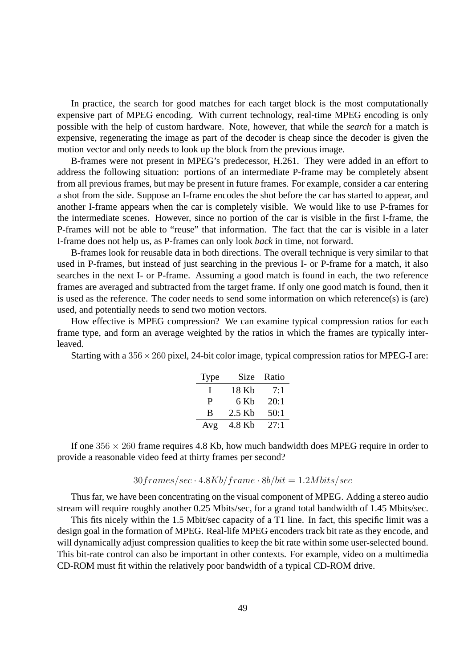In practice, the search for good matches for each target block is the most computationally expensive part of MPEG encoding. With current technology, real-time MPEG encoding is only possible with the help of custom hardware. Note, however, that while the *search* for a match is expensive, regenerating the image as part of the decoder is cheap since the decoder is given the motion vector and only needs to look up the block from the previous image.

B-frames were not present in MPEG's predecessor, H.261. They were added in an effort to address the following situation: portions of an intermediate P-frame may be completely absent from all previous frames, but may be present in future frames. For example, consider a car entering a shot from the side. Suppose an I-frame encodes the shot before the car has started to appear, and another I-frame appears when the car is completely visible. We would like to use P-frames for the intermediate scenes. However, since no portion of the car is visible in the first I-frame, the P-frames will not be able to "reuse" that information. The fact that the car is visible in a later I-frame does not help us, as P-frames can only look *back* in time, not forward.

B-frames look for reusable data in both directions. The overall technique is very similar to that used in P-frames, but instead of just searching in the previous I- or P-frame for a match, it also searches in the next I- or P-frame. Assuming a good match is found in each, the two reference frames are averaged and subtracted from the target frame. If only one good match is found, then it is used as the reference. The coder needs to send some information on which reference(s) is (are) used, and potentially needs to send two motion vectors.

How effective is MPEG compression? We can examine typical compression ratios for each frame type, and form an average weighted by the ratios in which the frames are typically interleaved.

Starting with a  $356 \times 260$  pixel, 24-bit color image, typical compression ratios for MPEG-I are:

| <b>Type</b> | Size   | Ratio |
|-------------|--------|-------|
|             | 18 Kb  | 7:1   |
| р           | 6 Kb   | 20:1  |
| B           | 2.5 Kb | 50:1  |
| Avg         | 4.8 Kb | 27:1  |

If one  $356 \times 260$  frame requires 4.8 Kb, how much bandwidth does MPEG require in order to provide a reasonable video feed at thirty frames per second?

#### $30$ frames/sec ·  $4.8Kb$ /frame ·  $8b/bit = 1.2Mbits/sec$

Thus far, we have been concentrating on the visual component of MPEG. Adding a stereo audio stream will require roughly another 0.25 Mbits/sec, for a grand total bandwidth of 1.45 Mbits/sec.

This fits nicely within the 1.5 Mbit/sec capacity of a T1 line. In fact, this specific limit was a design goal in the formation of MPEG. Real-life MPEG encoders track bit rate as they encode, and will dynamically adjust compression qualities to keep the bit rate within some user-selected bound. This bit-rate control can also be important in other contexts. For example, video on a multimedia CD-ROM must fit within the relatively poor bandwidth of a typical CD-ROM drive.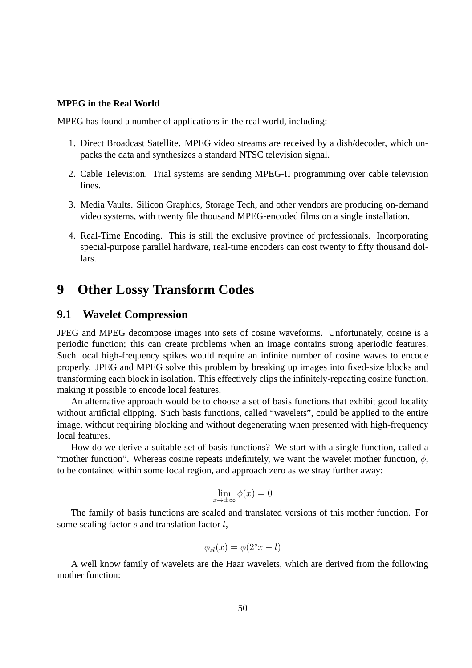#### **MPEG in the Real World**

MPEG has found a number of applications in the real world, including:

- 1. Direct Broadcast Satellite. MPEG video streams are received by a dish/decoder, which unpacks the data and synthesizes a standard NTSC television signal.
- 2. Cable Television. Trial systems are sending MPEG-II programming over cable television lines.
- 3. Media Vaults. Silicon Graphics, Storage Tech, and other vendors are producing on-demand video systems, with twenty file thousand MPEG-encoded films on a single installation.
- 4. Real-Time Encoding. This is still the exclusive province of professionals. Incorporating special-purpose parallel hardware, real-time encoders can cost twenty to fifty thousand dollars.

## **9 Other Lossy Transform Codes**

#### **9.1 Wavelet Compression**

JPEG and MPEG decompose images into sets of cosine waveforms. Unfortunately, cosine is a periodic function; this can create problems when an image contains strong aperiodic features. Such local high-frequency spikes would require an infinite number of cosine waves to encode properly. JPEG and MPEG solve this problem by breaking up images into fixed-size blocks and transforming each block in isolation. This effectively clips the infinitely-repeating cosine function, making it possible to encode local features.

An alternative approach would be to choose a set of basis functions that exhibit good locality without artificial clipping. Such basis functions, called "wavelets", could be applied to the entire image, without requiring blocking and without degenerating when presented with high-frequency local features.

How do we derive a suitable set of basis functions? We start with a single function, called a "mother function". Whereas cosine repeats indefinitely, we want the wavelet mother function,  $\phi$ , to be contained within some local region, and approach zero as we stray further away:

$$
\lim_{x \to \pm \infty} \phi(x) = 0
$$

The family of basis functions are scaled and translated versions of this mother function. For some scaling factor  $s$  and translation factor  $l$ ,

$$
\phi_{sl}(x) = \phi(2^s x - l)
$$

A well know family of wavelets are the Haar wavelets, which are derived from the following mother function: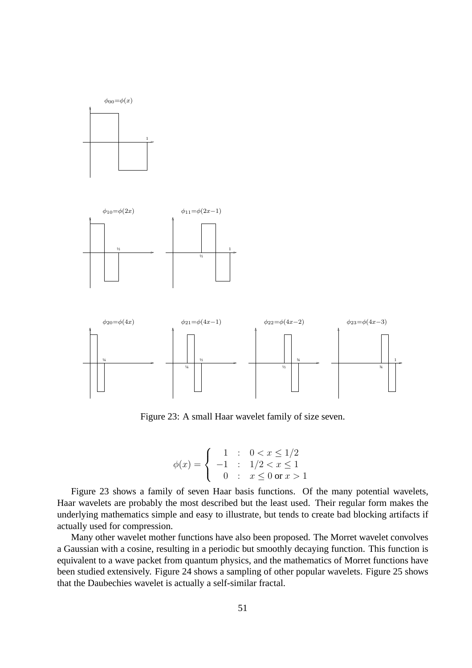

 $\phi_{00} = \phi(x)$ 



Figure 23: A small Haar wavelet family of size seven.

$$
\phi(x) = \begin{cases}\n1 & \text{: } 0 < x \le 1/2 \\
-1 & \text{: } 1/2 < x \le 1 \\
0 & \text{: } x \le 0 \text{ or } x > 1\n\end{cases}
$$

Figure 23 shows a family of seven Haar basis functions. Of the many potential wavelets, Haar wavelets are probably the most described but the least used. Their regular form makes the underlying mathematics simple and easy to illustrate, but tends to create bad blocking artifacts if actually used for compression.

Many other wavelet mother functions have also been proposed. The Morret wavelet convolves a Gaussian with a cosine, resulting in a periodic but smoothly decaying function. This function is equivalent to a wave packet from quantum physics, and the mathematics of Morret functions have been studied extensively. Figure 24 shows a sampling of other popular wavelets. Figure 25 shows that the Daubechies wavelet is actually a self-similar fractal.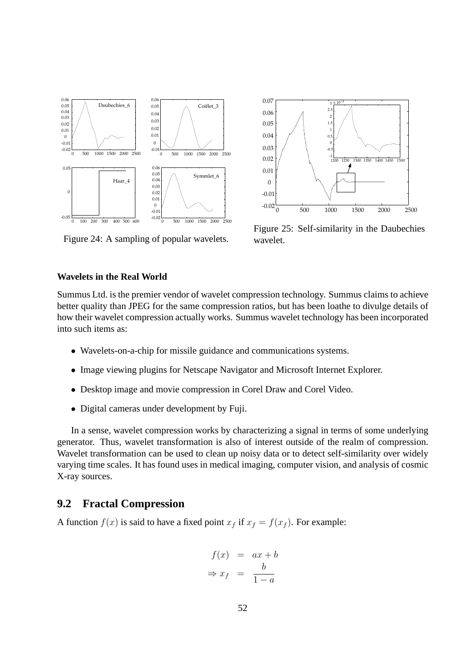

0 500 1000 1500 2000 2500 -0.02 -0.01 0 0.01 0.02 0.03 0.04 0.05 0.06 0.07 1<sub>400</sub> 1<sub>45</sub> -1 -0.5 0.5 1 1.5 2 2.5  $3 \times 10^{-3}$ 

Figure 25: Self-similarity in the Daubechies wavelet.

### Figure 24: A sampling of popular wavelets.

#### **Wavelets in the Real World**

Summus Ltd. is the premier vendor of wavelet compression technology. Summus claims to achieve better quality than JPEG for the same compression ratios, but has been loathe to divulge details of how their wavelet compression actually works. Summus wavelet technology has been incorporated into such items as:

- Wavelets-on-a-chip for missile guidance and communications systems.
- Image viewing plugins for Netscape Navigator and Microsoft Internet Explorer.
- Desktop image and movie compression in Corel Draw and Corel Video.
- Digital cameras under development by Fuji.

In a sense, wavelet compression works by characterizing a signal in terms of some underlying generator. Thus, wavelet transformation is also of interest outside of the realm of compression. Wavelet transformation can be used to clean up noisy data or to detect self-similarity over widely varying time scales. It has found uses in medical imaging, computer vision, and analysis of cosmic X-ray sources.

### **9.2 Fractal Compression**

A function  $f(x)$  is said to have a fixed point  $x_f$  if  $x_f = f(x_f)$ . For example:

$$
f(x) = ax + b
$$
  
\n
$$
\Rightarrow x_f = \frac{b}{1-a}
$$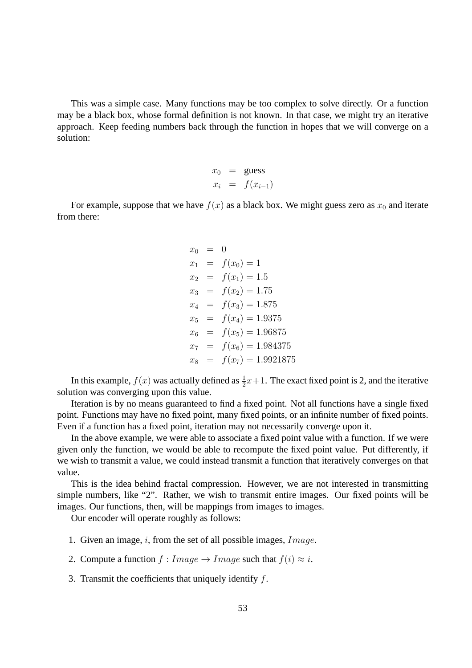This was a simple case. Many functions may be too complex to solve directly. Or a function may be a black box, whose formal definition is not known. In that case, we might try an iterative approach. Keep feeding numbers back through the function in hopes that we will converge on a solution:

$$
x_0 = \text{guess}
$$
  

$$
x_i = f(x_{i-1})
$$

For example, suppose that we have  $f(x)$  as a black box. We might guess zero as  $x_0$  and iterate from there:

$$
x_0 = 0
$$
  
\n
$$
x_1 = f(x_0) = 1
$$
  
\n
$$
x_2 = f(x_1) = 1.5
$$
  
\n
$$
x_3 = f(x_2) = 1.75
$$
  
\n
$$
x_4 = f(x_3) = 1.875
$$
  
\n
$$
x_5 = f(x_4) = 1.9375
$$
  
\n
$$
x_6 = f(x_5) = 1.96875
$$
  
\n
$$
x_7 = f(x_6) = 1.984375
$$
  
\n
$$
x_8 = f(x_7) = 1.9921875
$$

In this example,  $f(x)$  was actually defined as  $\frac{1}{2}x+1$ . The exact fixed point is 2, and the iterative solution was converging upon this value.

Iteration is by no means guaranteed to find a fixed point. Not all functions have a single fixed point. Functions may have no fixed point, many fixed points, or an infinite number of fixed points. Even if a function has a fixed point, iteration may not necessarily converge upon it.

In the above example, we were able to associate a fixed point value with a function. If we were given only the function, we would be able to recompute the fixed point value. Put differently, if we wish to transmit a value, we could instead transmit a function that iteratively converges on that value.

This is the idea behind fractal compression. However, we are not interested in transmitting simple numbers, like "2". Rather, we wish to transmit entire images. Our fixed points will be images. Our functions, then, will be mappings from images to images.

Our encoder will operate roughly as follows:

- 1. Given an image, i, from the set of all possible images,  $Image$ .
- 2. Compute a function  $f: Image \rightarrow Image$  such that  $f(i) \approx i$ .

3. Transmit the coefficients that uniquely identify  $f$ .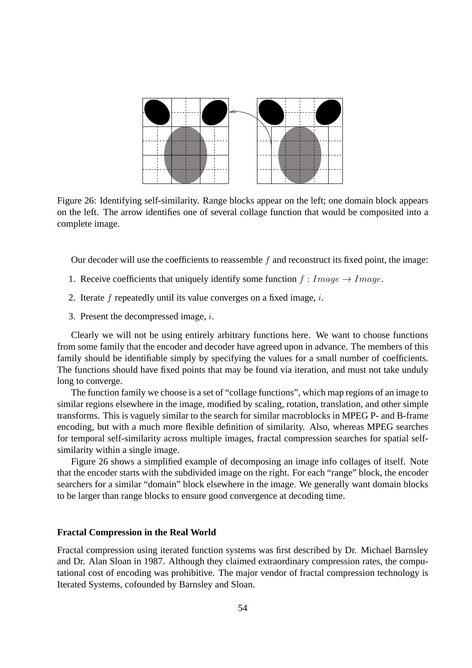

Figure 26: Identifying self-similarity. Range blocks appear on the left; one domain block appears on the left. The arrow identifies one of several collage function that would be composited into a complete image.

Our decoder will use the coefficients to reassemble  $f$  and reconstruct its fixed point, the image:

- 1. Receive coefficients that uniquely identify some function  $f : Image \rightarrow Image$ .
- 2. Iterate  $f$  repeatedly until its value converges on a fixed image,  $i$ .
- 3. Present the decompressed image,  $i$ .

Clearly we will not be using entirely arbitrary functions here. We want to choose functions from some family that the encoder and decoder have agreed upon in advance. The members of this family should be identifiable simply by specifying the values for a small number of coefficients. The functions should have fixed points that may be found via iteration, and must not take unduly long to converge.

The function family we choose is a set of "collage functions", which map regions of an image to similar regions elsewhere in the image, modified by scaling, rotation, translation, and other simple transforms. This is vaguely similar to the search for similar macroblocks in MPEG P- and B-frame encoding, but with a much more flexible definition of similarity. Also, whereas MPEG searches for temporal self-similarity across multiple images, fractal compression searches for spatial selfsimilarity within a single image.

Figure 26 shows a simplified example of decomposing an image info collages of itself. Note that the encoder starts with the subdivided image on the right. For each "range" block, the encoder searchers for a similar "domain" block elsewhere in the image. We generally want domain blocks to be larger than range blocks to ensure good convergence at decoding time.

#### **Fractal Compression in the Real World**

Fractal compression using iterated function systems was first described by Dr. Michael Barnsley and Dr. Alan Sloan in 1987. Although they claimed extraordinary compression rates, the computational cost of encoding was prohibitive. The major vendor of fractal compression technology is Iterated Systems, cofounded by Barnsley and Sloan.